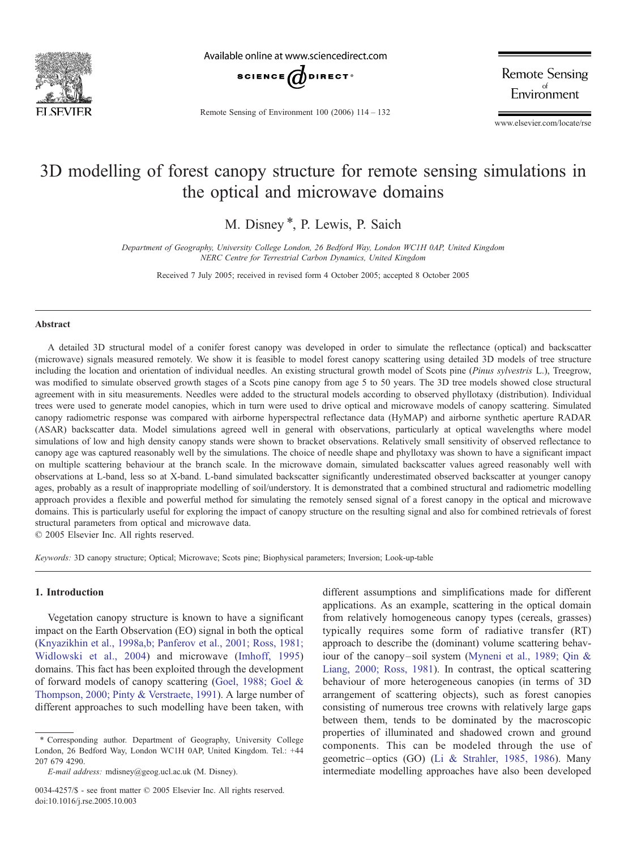

Available online at www.sciencedirect.com



Remote Sensing of Environment 100 (2006) 114 – 132

**Remote Sensing** Environment

www.elsevier.com/locate/rse

# 3D modelling of forest canopy structure for remote sensing simulations in the optical and microwave domains

M. Disney \*, P. Lewis, P. Saich

Department of Geography, University College London, 26 Bedford Way, London WC1H 0AP, United Kingdom NERC Centre for Terrestrial Carbon Dynamics, United Kingdom

Received 7 July 2005; received in revised form 4 October 2005; accepted 8 October 2005

#### Abstract

A detailed 3D structural model of a conifer forest canopy was developed in order to simulate the reflectance (optical) and backscatter (microwave) signals measured remotely. We show it is feasible to model forest canopy scattering using detailed 3D models of tree structure including the location and orientation of individual needles. An existing structural growth model of Scots pine (Pinus sylvestris L.), Treegrow, was modified to simulate observed growth stages of a Scots pine canopy from age 5 to 50 years. The 3D tree models showed close structural agreement with in situ measurements. Needles were added to the structural models according to observed phyllotaxy (distribution). Individual trees were used to generate model canopies, which in turn were used to drive optical and microwave models of canopy scattering. Simulated canopy radiometric response was compared with airborne hyperspectral reflectance data (HyMAP) and airborne synthetic aperture RADAR (ASAR) backscatter data. Model simulations agreed well in general with observations, particularly at optical wavelengths where model simulations of low and high density canopy stands were shown to bracket observations. Relatively small sensitivity of observed reflectance to canopy age was captured reasonably well by the simulations. The choice of needle shape and phyllotaxy was shown to have a significant impact on multiple scattering behaviour at the branch scale. In the microwave domain, simulated backscatter values agreed reasonably well with observations at L-band, less so at X-band. L-band simulated backscatter significantly underestimated observed backscatter at younger canopy ages, probably as a result of inappropriate modelling of soil/understory. It is demonstrated that a combined structural and radiometric modelling approach provides a flexible and powerful method for simulating the remotely sensed signal of a forest canopy in the optical and microwave domains. This is particularly useful for exploring the impact of canopy structure on the resulting signal and also for combined retrievals of forest structural parameters from optical and microwave data.

 $© 2005 Elsevier Inc. All rights reserved.$ 

Keywords: 3D canopy structure; Optical; Microwave; Scots pine; Biophysical parameters; Inversion; Look-up-table

## 1. Introduction

Vegetation canopy structure is known to have a significant impact on the Earth Observation (EO) signal in both the optical ([Knyazikhin et al., 1998a,b; Panferov et al., 2001; Ross, 198](#page-17-0)1; Widlowski et al., 2004) and microwave [\(Imhoff, 1995](#page-16-0)) domains. This fact has been exploited through the development of forward models of canopy scattering ([Goel, 1988; Goel](#page-16-0) & Thompson, 2000; Pinty & Verstraete, 1991). A large number of different approaches to such modelling have been taken, with different assumptions and simplifications made for different applications. As an example, scattering in the optical domain from relatively homogeneous canopy types (cereals, grasses) typically requires some form of radiative transfer (RT) approach to describe the (dominant) volume scattering behaviour of the canopy– soil system [\(Myneni et al., 1989; Qin](#page-17-0) & Liang, 2000; Ross, 1981). In contrast, the optical scattering behaviour of more heterogeneous canopies (in terms of 3D arrangement of scattering objects), such as forest canopies consisting of numerous tree crowns with relatively large gaps between them, tends to be dominated by the macroscopic properties of illuminated and shadowed crown and ground components. This can be modeled through the use of geometric– optics (GO) [\(Li & Strahler, 1985, 1986](#page-17-0)). Many intermediate modelling approaches have also been developed

<sup>\*</sup> Corresponding author. Department of Geography, University College London, 26 Bedford Way, London WC1H 0AP, United Kingdom. Tel.: +44 207 679 4290.

E-mail address: mdisney@geog.ucl.ac.uk (M. Disney).

<sup>0034-4257/\$ -</sup> see front matter © 2005 Elsevier Inc. All rights reserved. doi:10.1016/j.rse.2005.10.003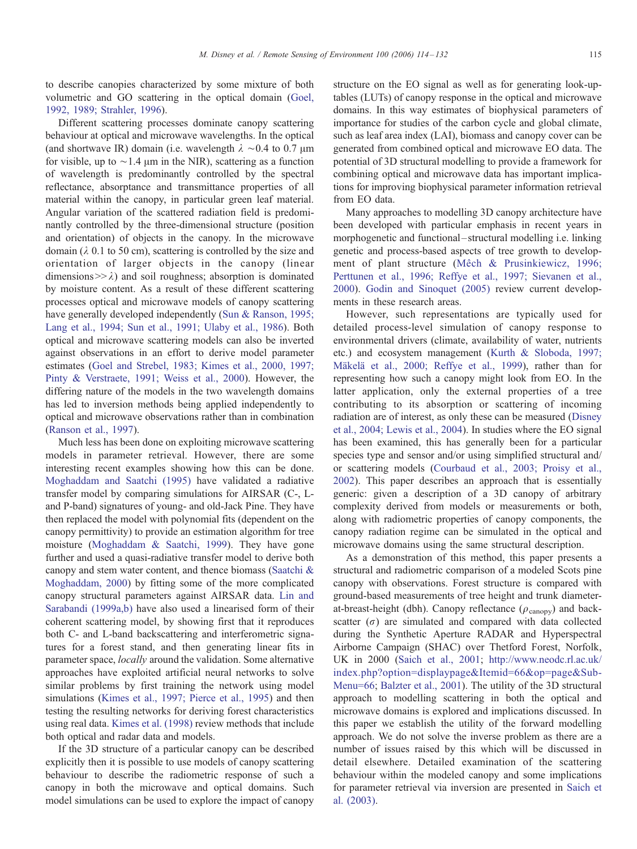to describe canopies characterized by some mixture of both volumetric and GO scattering in the optical domain ([Goel,](#page-16-0) 1992, 1989; Strahler, 1996).

Different scattering processes dominate canopy scattering behaviour at optical and microwave wavelengths. In the optical (and shortwave IR) domain (i.e. wavelength  $\lambda \sim 0.4$  to 0.7  $\mu$ m for visible, up to  $\sim$  1.4 µm in the NIR), scattering as a function of wavelength is predominantly controlled by the spectral reflectance, absorptance and transmittance properties of all material within the canopy, in particular green leaf material. Angular variation of the scattered radiation field is predominantly controlled by the three-dimensional structure (position and orientation) of objects in the canopy. In the microwave domain ( $\lambda$  0.1 to 50 cm), scattering is controlled by the size and orientation of larger objects in the canopy (linear dimensions  $>> \lambda$ ) and soil roughness; absorption is dominated by moisture content. As a result of these different scattering processes optical and microwave models of canopy scattering have generally developed independently ([Sun & Ranson, 199](#page-18-0)5; Lang et al., 1994; Sun et al., 1991; Ulaby et al., 1986). Both optical and microwave scattering models can also be inverted against observations in an effort to derive model parameter estimates ([Goel and Strebel, 1983; Kimes et al., 2000, 199](#page-16-0)7; Pinty & Verstraete, 1991; Weiss et al., 2000). However, the differing nature of the models in the two wavelength domains has led to inversion methods being applied independently to optical and microwave observations rather than in combination ([Ranson et al., 1997\)](#page-17-0).

Much less has been done on exploiting microwave scattering models in parameter retrieval. However, there are some interesting recent examples showing how this can be done. [Moghaddam and Saatchi \(1995\)](#page-17-0) have validated a radiative transfer model by comparing simulations for AIRSAR (C-, Land P-band) signatures of young- and old-Jack Pine. They have then replaced the model with polynomial fits (dependent on the canopy permittivity) to provide an estimation algorithm for tree moisture ([Moghaddam & Saatchi, 1999\)](#page-17-0). They have gone further and used a quasi-radiative transfer model to derive both canopy and stem water content, and thence biomass ([Saatchi &](#page-17-0) Moghaddam, 2000) by fitting some of the more complicated canopy structural parameters against AIRSAR data. [Lin and](#page-17-0) Sarabandi (1999a,b) have also used a linearised form of their coherent scattering model, by showing first that it reproduces both C- and L-band backscattering and interferometric signatures for a forest stand, and then generating linear fits in parameter space, locally around the validation. Some alternative approaches have exploited artificial neural networks to solve similar problems by first training the network using model simulations ([Kimes et al., 1997; Pierce et al., 1995\)](#page-17-0) and then testing the resulting networks for deriving forest characteristics using real data. [Kimes et al. \(1998\)](#page-16-0) review methods that include both optical and radar data and models.

If the 3D structure of a particular canopy can be described explicitly then it is possible to use models of canopy scattering behaviour to describe the radiometric response of such a canopy in both the microwave and optical domains. Such model simulations can be used to explore the impact of canopy structure on the EO signal as well as for generating look-uptables (LUTs) of canopy response in the optical and microwave domains. In this way estimates of biophysical parameters of importance for studies of the carbon cycle and global climate, such as leaf area index (LAI), biomass and canopy cover can be generated from combined optical and microwave EO data. The potential of 3D structural modelling to provide a framework for combining optical and microwave data has important implications for improving biophysical parameter information retrieval from EO data.

Many approaches to modelling 3D canopy architecture have been developed with particular emphasis in recent years in morphogenetic and functional-structural modelling *i.e.* linking genetic and process-based aspects of tree growth to development of plant structure (Mêch & Prusinkiewicz, 1996; Perttunen et al., 1996; Reffye et al., 1997; Sievanen et al., 2000). [Godin and Sinoquet \(2005](#page-16-0)) review current developments in these research areas.

However, such representations are typically used for detailed process-level simulation of canopy response to environmental drivers (climate, availability of water, nutrients etc.) and ecosystem management [\(Kurth & Sloboda, 19](#page-17-0)97; Mäkelä et al., 2000; Reffye et al., 1999), rather than for representing how such a canopy might look from EO. In the latter application, only the external properties of a tree contributing to its absorption or scattering of incoming radiation are of interest, as only these can be measured [\(Disney](#page-16-0) et al., 2004; Lewis et al., 2004). In studies where the EO signal has been examined, this has generally been for a particular species type and sensor and/or using simplified structural and/ or scattering models [\(Courbaud et al., 2003; Proisy et](#page-16-0) al., 2002). This paper describes an approach that is essentially generic: given a description of a 3D canopy of arbitrary complexity derived from models or measurements or both, along with radiometric properties of canopy components, the canopy radiation regime can be simulated in the optical and microwave domains using the same structural description.

As a demonstration of this method, this paper presents a structural and radiometric comparison of a modeled Scots pine canopy with observations. Forest structure is compared with ground-based measurements of tree height and trunk diameterat-breast-height (dbh). Canopy reflectance ( $\rho_{\text{canopy}}$ ) and backscatter  $(\sigma)$  are simulated and compared with data collected during the Synthetic Aperture RADAR and Hyperspectral Airborne Campaign (SHAC) over Thetford Forest, Norfolk, UK in 2000 [\(Saich et al., 2001](#page-17-0); [http://www.neodc.rl.ac]( http:\\www.neodc.rl.ac.uk\index.php?option=displaypage&Itemid=66&op=page&SubMenu=66 ).uk/ index.php?option=displaypage&Itemid=66&op=page&Sub-Menu=66; [Balzter et al., 2001](#page-16-0)). The utility of the 3D structural approach to modelling scattering in both the optical and microwave domains is explored and implications discussed. In this paper we establish the utility of the forward modelling approach. We do not solve the inverse problem as there are a number of issues raised by this which will be discussed in detail elsewhere. Detailed examination of the scattering behaviour within the modeled canopy and some implications for parameter retrieval via inversion are presented in [Saich et](#page-17-0) al. (2003).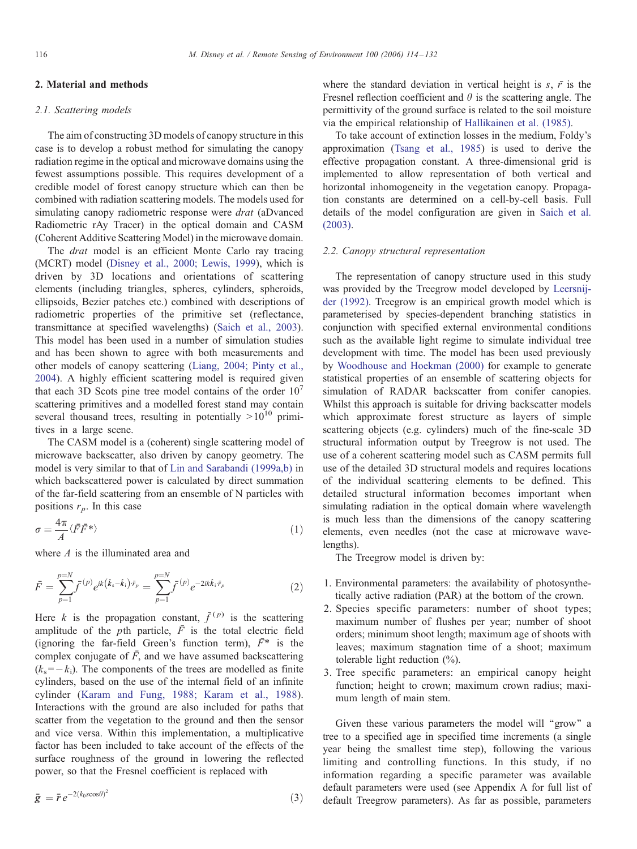#### 2. Material and methods

#### 2.1. Scattering models

The aim of constructing 3D models of canopy structure in this case is to develop a robust method for simulating the canopy radiation regime in the optical and microwave domains using the fewest assumptions possible. This requires development of a credible model of forest canopy structure which can then be combined with radiation scattering models. The models used for simulating canopy radiometric response were *drat* (aDvanced Radiometric rAy Tracer) in the optical domain and CASM (Coherent Additive Scattering Model) in the microwave domain.

The *drat* model is an efficient Monte Carlo ray tracing (MCRT) model ([Disney et al., 2000; Lewis, 1999\)](#page-16-0), which is driven by 3D locations and orientations of scattering elements (including triangles, spheres, cylinders, spheroids, ellipsoids, Bezier patches etc.) combined with descriptions of radiometric properties of the primitive set (reflectance, transmittance at specified wavelengths) ([Saich et al., 2003](#page-17-0)). This model has been used in a number of simulation studies and has been shown to agree with both measurements and other models of canopy scattering ([Liang, 2004; Pinty et a](#page-17-0)l., 2004). A highly efficient scattering model is required given that each 3D Scots pine tree model contains of the order  $10<sup>7</sup>$ scattering primitives and a modelled forest stand may contain several thousand trees, resulting in potentially  $> 10^{10}$  primitives in a large scene.

The CASM model is a (coherent) single scattering model of microwave backscatter, also driven by canopy geometry. The model is very similar to that of [Lin and Sarabandi \(1999a,b\)](#page-17-0) in which backscattered power is calculated by direct summation of the far-field scattering from an ensemble of N particles with positions  $r_p$ . In this case

$$
\sigma = \frac{4\pi}{A} \langle \bar{F}\bar{F}^* \rangle \tag{1}
$$

where *A* is the illuminated area and

$$
\bar{F} = \sum_{p=1}^{p=N} \bar{f}^{(p)} e^{ik(\hat{k}_s - \hat{k}_i)\cdot\bar{r}_p} = \sum_{p=1}^{p=N} \bar{f}^{(p)} e^{-2ik\hat{k}_i\cdot\bar{r}_p}
$$
(2)

Here k is the propagation constant,  $\bar{f}^{(p)}$  is the scattering amplitude of the *p*th particle,  $\overline{F}$  is the total electric field (ignoring the far-field Green's function term),  $\bar{F}^*$  is the complex conjugate of  $\bar{F}$ , and we have assumed backscattering  $(k<sub>s</sub>=-k<sub>i</sub>)$ . The components of the trees are modelled as finite cylinders, based on the use of the internal field of an infinite cylinder (Kar[am and Fung, 1988; Karam et al., 1988\).](#page-16-0) Interactions with the ground are also included for paths that scatter from the vegetation to the ground and then the sensor and vice versa. Within this implementation, a multiplicative factor has been included to take account of the effects of the surface roughness of the ground in lowering the reflected power, so that the Fresnel coefficient is replaced with

$$
\bar{g} = \bar{r} e^{-2(k_0 s \cos \theta)^2} \tag{3}
$$

where the standard deviation in vertical height is  $s, \bar{r}$  is the Fresnel reflection coefficient and  $\theta$  is the scattering angle. The permittivity of the ground surface is related to the soil moisture via the empirical relationship of [Hallikainen et al. \(1985\)](#page-16-0).

To take account of extinction losses in the medium, Foldy's approximation ([Tsang et al., 1985\)](#page-18-0) is used to derive the effective propagation constant. A three-dimensional grid is implemented to allow representation of both vertical and horizontal inhomogeneity in the vegetation canopy. Propagation constants are determined on a cell-by-cell basis. Full details of the model configuration are given in [Saich et](#page-17-0) al. (2003).

## 2.2. Canopy structural representation

The representation of canopy structure used in this study was provided by the Treegrow model developed by [Leersn](#page-17-0)ijder (1992). Treegrow is an empirical growth model which is parameterised by species-dependent branching statistics in conjunction with specified external environmental conditions such as the available light regime to simulate individual tree development with time. The model has been used previously by [Woodhouse and Hoekman \(2000\)](#page-18-0) for example to generate statistical properties of an ensemble of scattering objects for simulation of RADAR backscatter from conifer canopies. Whilst this approach is suitable for driving backscatter models which approximate forest structure as layers of simple scattering objects (e.g. cylinders) much of the fine-scale 3D structural information output by Treegrow is not used. The use of a coherent scattering model such as CASM permits full use of the detailed 3D structural models and requires locations of the individual scattering elements to be defined. This detailed structural information becomes important when simulating radiation in the optical domain where wavelength is much less than the dimensions of the canopy scattering elements, even needles (not the case at microwave wavelengths).

The Treegrow model is driven by:

- 1. Environmental parameters: the availability of photosynthetically active radiation (PAR) at the bottom of the crown.
- 2. Species specific parameters: number of shoot types; maximum number of flushes per year; number of shoot orders; minimum shoot length; maximum age of shoots with leaves; maximum stagnation time of a shoot; maximum tolerable light reduction (%).
- 3. Tree specific parameters: an empirical canopy height function; height to crown; maximum crown radius; maximum length of main stem.

Given these various parameters the model will "grow" a tree to a specified age in specified time increments (a single year being the smallest time step), following the various limiting and controlling functions. In this study, if no information regarding a specific parameter was available default parameters were used (see Appendix A for full list of default Treegrow parameters). As far as possible, parameters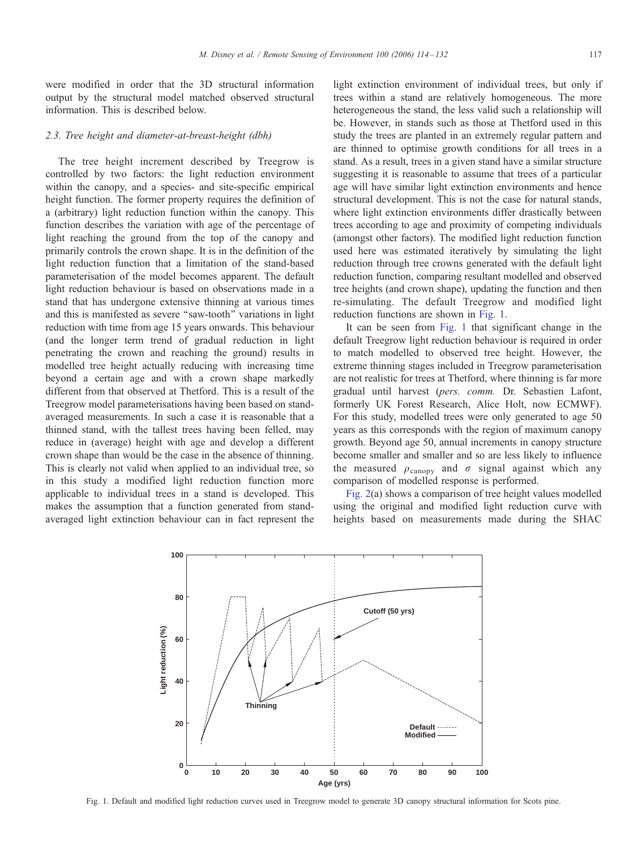were modified in order that the 3D structural information output by the structural model matched observed structural information. This is described below.

#### 2.3. Tree height and diameter-at-breast-height (dbh)

The tree height increment described by Treegrow is controlled by two factors: the light reduction environment within the canopy, and a species- and site-specific empirical height function. The former property requires the definition of a (arbitrary) light reduction function within the canopy. This function describes the variation with age of the percentage of light reaching the ground from the top of the canopy and primarily controls the crown shape. It is in the definition of the light reduction function that a limitation of the stand-based parameterisation of the model becomes apparent. The default light reduction behaviour is based on observations made in a stand that has undergone extensive thinning at various times and this is manifested as severe ''saw-tooth'' variations in light reduction with time from age 15 years onwards. This behaviour (and the longer term trend of gradual reduction in light penetrating the crown and reaching the ground) results in modelled tree height actually reducing with increasing time beyond a certain age and with a crown shape markedly different from that observed at Thetford. This is a result of the Treegrow model parameterisations having been based on standaveraged measurements. In such a case it is reasonable that a thinned stand, with the tallest trees having been felled, may reduce in (average) height with age and develop a different crown shape than would be the case in the absence of thinning. This is clearly not valid when applied to an individual tree, so in this study a modified light reduction function more applicable to individual trees in a stand is developed. This makes the assumption that a function generated from standaveraged light extinction behaviour can in fact represent the

light extinction environment of individual trees, but only if trees within a stand are relatively homogeneous. The more heterogeneous the stand, the less valid such a relationship will be. However, in stands such as those at Thetford used in this study the trees are planted in an extremely regular pattern and are thinned to optimise growth conditions for all trees in a stand. As a result, trees in a given stand have a similar structure suggesting it is reasonable to assume that trees of a particular age will have similar light extinction environments and hence structural development. This is not the case for natural stands, where light extinction environments differ drastically between trees according to age and proximity of competing individuals (amongst other factors). The modified light reduction function used here was estimated iteratively by simulating the light reduction through tree crowns generated with the default light reduction function, comparing resultant modelled and observed tree heights (and crown shape), updating the function and then re-simulating. The default Treegrow and modified light reduction functions are shown in Fig. 1.

It can be seen from Fig. 1 that significant change in the default Treegrow light reduction behaviour is required in order to match modelled to observed tree height. However, the extreme thinning stages included in Treegrow parameterisation are not realistic for trees at Thetford, where thinning is far more gradual until harvest (pers. comm. Dr. Sebastien Lafont, formerly UK Forest Research, Alice Holt, now ECMWF). For this study, modelled trees were only generated to age 50 years as this corresponds with the region of maximum canopy growth. Beyond age 50, annual increments in canopy structure become smaller and smaller and so are less likely to influence the measured  $\rho_{\text{canopy}}$  and  $\sigma$  signal against which any comparison of modelled response is performed.

[Fig. 2](#page-4-0)(a) shows a comparison of tree height values modelled using the original and modified light reduction curve with heights based on measurements made during the SHAC



Fig. 1. Default and modified light reduction curves used in Treegrow model to generate 3D canopy structural information for Scots pine.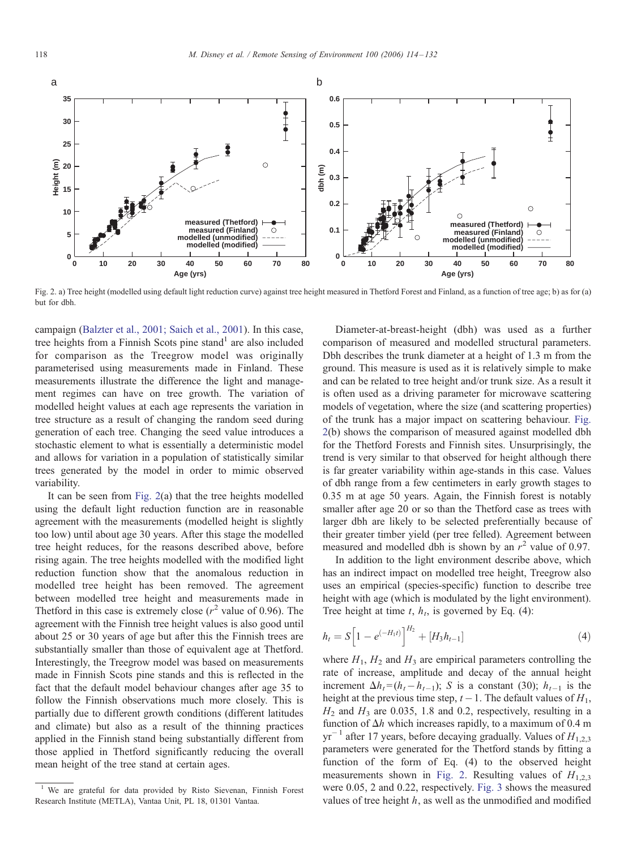<span id="page-4-0"></span>

Fig. 2. a) Tree height (modelled using default light reduction curve) against tree height measured in Thetford Forest and Finland, as a function of tree age; b) as for (a) but for dbh.

campaign [\(Balzter et al., 2001; Saich et al., 2001](#page-16-0)). In this case, tree heights from a Finnish Scots pine stand<sup>1</sup> are also included for comparison as the Treegrow model was originally parameterised using measurements made in Finland. These measurements illustrate the difference the light and management regimes can have on tree growth. The variation of modelled height values at each age represents the variation in tree structure as a result of changing the random seed during generation of each tree. Changing the seed value introduces a stochastic element to what is essentially a deterministic model and allows for variation in a population of statistically similar trees generated by the model in order to mimic observed variability.

It can be seen from Fig. 2(a) that the tree heights modelled using the default light reduction function are in reasonable agreement with the measurements (modelled height is slightly too low) until about age 30 years. After this stage the modelled tree height reduces, for the reasons described above, before rising again. The tree heights modelled with the modified light reduction function show that the anomalous reduction in modelled tree height has been removed. The agreement between modelled tree height and measurements made in Thetford in this case is extremely close  $(r^2$  value of 0.96). The agreement with the Finnish tree height values is also good until about 25 or 30 years of age but after this the Finnish trees are substantially smaller than those of equivalent age at Thetford. Interestingly, the Treegrow model was based on measurements made in Finnish Scots pine stands and this is reflected in the fact that the default model behaviour changes after age 35 to follow the Finnish observations much more closely. This is partially due to different growth conditions (different latitudes and climate) but also as a result of the thinning practices applied in the Finnish stand being substantially different from those applied in Thetford significantly reducing the overall mean height of the tree stand at certain ages.

Diameter-at-breast-height (dbh) was used as a further comparison of measured and modelled structural parameters. Dbh describes the trunk diameter at a height of 1.3 m from the ground. This measure is used as it is relatively simple to make and can be related to tree height and/or trunk size. As a result it is often used as a driving parameter for microwave scattering models of vegetation, where the size (and scattering properties) of the trunk has a major impact on scattering behaviour. Fig. 2(b) shows the comparison of measured against modelled dbh for the Thetford Forests and Finnish sites. Unsurprisingly, the trend is very similar to that observed for height although there is far greater variability within age-stands in this case. Values of dbh range from a few centimeters in early growth stages to 0.35 m at age 50 years. Again, the Finnish forest is notably smaller after age 20 or so than the Thetford case as trees with larger dbh are likely to be selected preferentially because of their greater timber yield (per tree felled). Agreement between measured and modelled dbh is shown by an  $r^2$  value of 0.97.

In addition to the light environment describe above, which has an indirect impact on modelled tree height, Treegrow also uses an empirical (species-specific) function to describe tree height with age (which is modulated by the light environment). Tree height at time t,  $h_t$ , is governed by Eq. (4):

$$
h_t = S \left[ 1 - e^{(-H_1 t)} \right]^{H_2} + [H_3 h_{t-1}] \tag{4}
$$

where  $H_1$ ,  $H_2$  and  $H_3$  are empirical parameters controlling the rate of increase, amplitude and decay of the annual height increment  $\Delta h_t = (h_t - h_{t-1}); S$  is a constant (30);  $h_{t-1}$  is the height at the previous time step,  $t - 1$ . The default values of  $H_1$ ,  $H_2$  and  $H_3$  are 0.035, 1.8 and 0.2, respectively, resulting in a function of  $\Delta h$  which increases rapidly, to a maximum of 0.4 m  $yr^{-1}$  after 17 years, before decaying gradually. Values of  $H_{1,2,3}$ parameters were generated for the Thetford stands by fitting a function of the form of Eq. (4) to the observed height measurements shown in Fig. 2. Resulting values of  $H_{1,2,3}$ were 0.05, 2 and 0.22, respectively. [Fig. 3](#page-5-0) shows the measured values of tree height  $h$ , as well as the unmodified and modified

 $1$  We are grateful for data provided by Risto Sievenan, Finnish Forest Research Institute (METLA), Vantaa Unit, PL 18, 01301 Vantaa.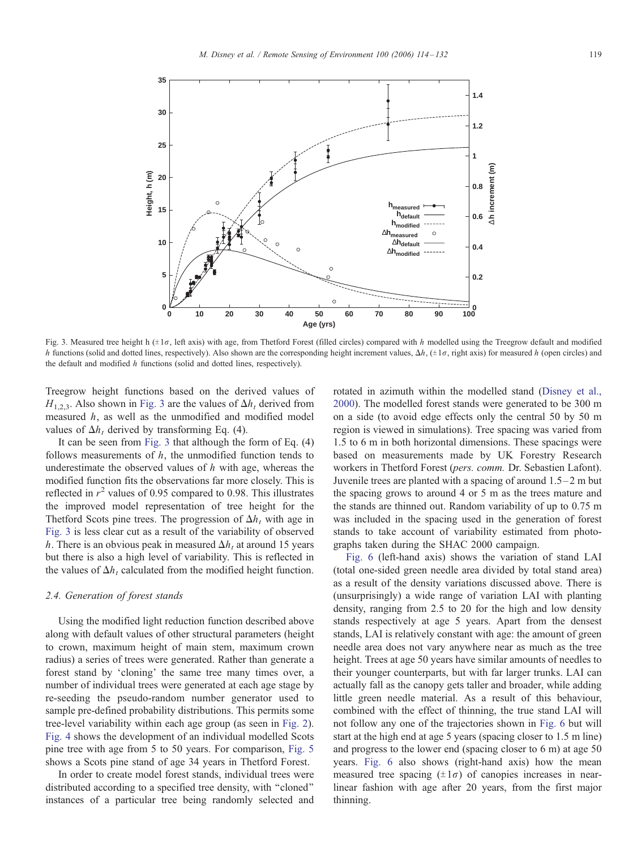<span id="page-5-0"></span>

Fig. 3. Measured tree height h  $(\pm 1\sigma, \text{ left axis})$  with age, from Thetford Forest (filled circles) compared with h modelled using the Treegrow default and modified h functions (solid and dotted lines, respectively). Also shown are the corresponding height increment values,  $\Delta h$ , ( $\pm 1\sigma$ , right axis) for measured h (open circles) and the default and modified h functions (solid and dotted lines, respectively).

Treegrow height functions based on the derived values of  $H_{1,2,3}$ . Also shown in Fig. 3 are the values of  $\Delta h_t$ , derived from measured h, as well as the unmodified and modified model values of  $\Delta h_t$ , derived by transforming Eq. (4).

It can be seen from Fig. 3 that although the form of Eq. (4) follows measurements of  $h$ , the unmodified function tends to underestimate the observed values of  $h$  with age, whereas the modified function fits the observations far more closely. This is reflected in  $r^2$  values of 0.95 compared to 0.98. This illustrates the improved model representation of tree height for the Thetford Scots pine trees. The progression of  $\Delta h_t$  with age in Fig. 3 is less clear cut as a result of the variability of observed h. There is an obvious peak in measured  $\Delta h_t$  at around 15 years but there is also a high level of variability. This is reflected in the values of  $\Delta h_t$  calculated from the modified height function.

#### 2.4. Generation of forest stands

Using the modified light reduction function described above along with default values of other structural parameters (height to crown, maximum height of main stem, maximum crown radius) a series of trees were generated. Rather than generate a forest stand by 'cloning' the same tree many times over, a number of individual trees were generated at each age stage by re-seeding the pseudo-random number generator used to sample pre-defined probability distributions. This permits some tree-level variability within each age group (as seen in [Fig. 2\)](#page-4-0). [Fig. 4](#page-6-0) shows the development of an individual modelled Scots pine tree with age from 5 to 50 years. For comparison, [Fig. 5](#page-6-0) shows a Scots pine stand of age 34 years in Thetford Forest.

In order to create model forest stands, individual trees were distributed according to a specified tree density, with ''cloned'' instances of a particular tree being randomly selected and rotated in azimuth within the modelled stand [\(Disney et al.](#page-16-0), 2000). The modelled forest stands were generated to be 300 m on a side (to avoid edge effects only the central 50 by 50 m region is viewed in simulations). Tree spacing was varied from 1.5 to 6 m in both horizontal dimensions. These spacings were based on measurements made by UK Forestry Research workers in Thetford Forest (pers. comm. Dr. Sebastien Lafont). Juvenile trees are planted with a spacing of around  $1.5-2$  m but the spacing grows to around 4 or 5 m as the trees mature and the stands are thinned out. Random variability of up to 0.75 m was included in the spacing used in the generation of forest stands to take account of variability estimated from photographs taken during the SHAC 2000 campaign.

[Fig. 6](#page-7-0) (left-hand axis) shows the variation of stand LAI (total one-sided green needle area divided by total stand area) as a result of the density variations discussed above. There is (unsurprisingly) a wide range of variation LAI with planting density, ranging from 2.5 to 20 for the high and low density stands respectively at age 5 years. Apart from the densest stands, LAI is relatively constant with age: the amount of green needle area does not vary anywhere near as much as the tree height. Trees at age 50 years have similar amounts of needles to their younger counterparts, but with far larger trunks. LAI can actually fall as the canopy gets taller and broader, while adding little green needle material. As a result of this behaviour, combined with the effect of thinning, the true stand LAI will not follow any one of the trajectories shown in [Fig. 6](#page-7-0) but will start at the high end at age 5 years (spacing closer to 1.5 m line) and progress to the lower end (spacing closer to 6 m) at age 50 years. [Fig.](#page-7-0) 6 also shows (right-hand axis) how the mean measured tree spacing  $(\pm 1\sigma)$  of canopies increases in nearlinear fashion with age after 20 years, from the first major thinning.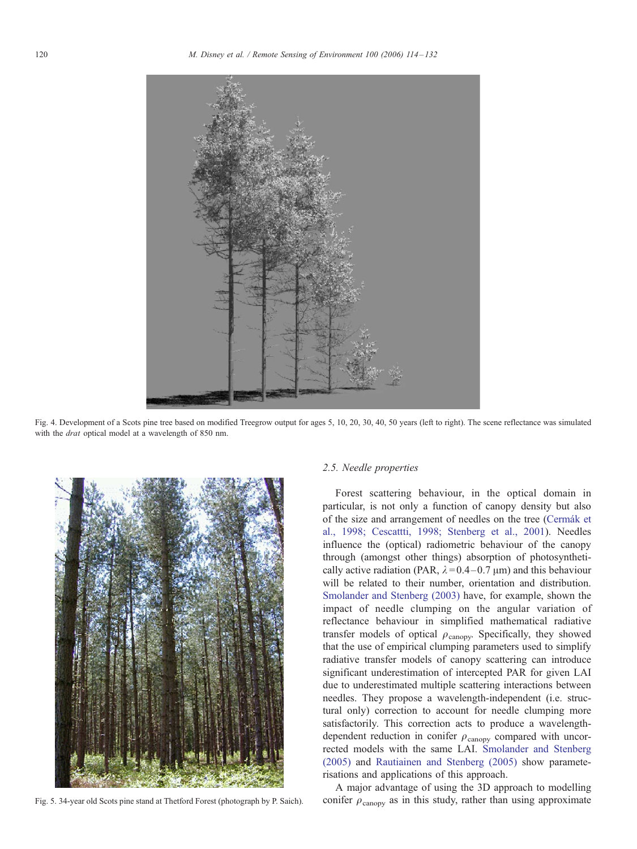<span id="page-6-0"></span>

Fig. 4. Development of a Scots pine tree based on modified Treegrow output for ages 5, 10, 20, 30, 40, 50 years (left to right). The scene reflectance was simulated with the *drat* optical model at a wavelength of 850 nm.



#### 2.5. Needle properties

Forest scattering behaviour, in the optical domain in particular, is not only a function of canopy density but also of the size and arrangement of needles on the tree [\(Cerma´k et](#page-16-0) al., 1998; Cescattti, 1998; Stenberg et al., 2001). Needles influence the (optical) radiometric behaviour of the canopy through (amongst other things) absorption of photosynthetically active radiation (PAR,  $\lambda = 0.4 - 0.7 \mu m$ ) and this behaviour will be related to their number, orientation and distribution. [Smolander and Stenberg \(2003\)](#page-17-0) have, for example, shown the impact of needle clumping on the angular variation of reflectance behaviour in simplified mathematical radiative transfer models of optical  $\rho_{\text{canopy}}$ . Specifically, they showed that the use of empirical clumping parameters used to simplify radiative transfer models of canopy scattering can introduce significant underestimation of intercepted PAR for given LAI due to underestimated multiple scattering interactions between needles. They propose a wavelength-independent (i.e. structural only) correction to account for needle clumping more satisfactorily. This correction acts to produce a wavelengthdependent reduction in conifer  $\rho_{\text{canopy}}$  compared with uncorrected models with the same LAI. [Smolander and Stenberg](#page-17-0) (2005) and [Rautiainen and Stenberg \(2005\)](#page-17-0) show parameterisations and applications of this approach.

A major advantage of using the 3D approach to modelling Fig. 5. 34-year old Scots pine stand at Thetford Forest (photograph by P. Saich). conifer  $\rho_{\text{canopy}}$  as in this study, rather than using approximate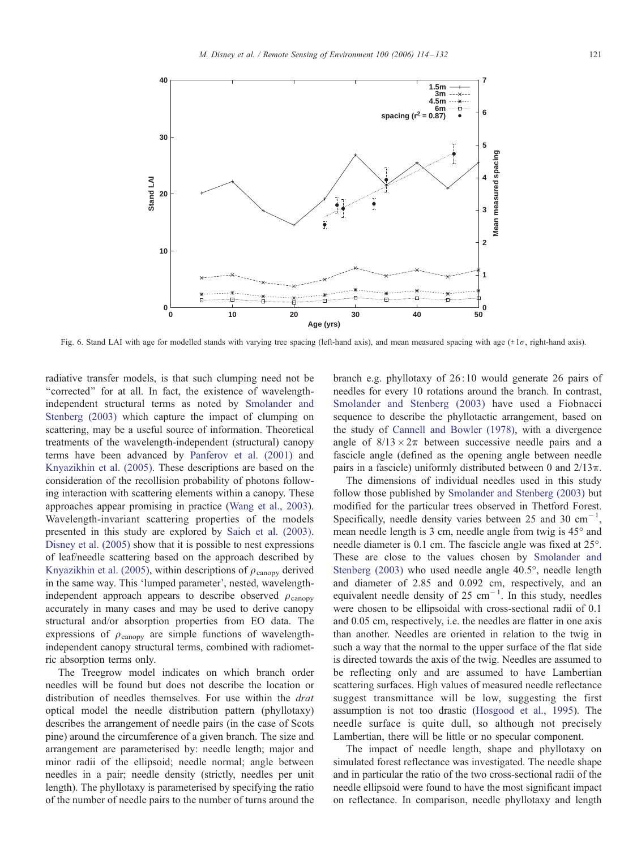<span id="page-7-0"></span>

Fig. 6. Stand LAI with age for modelled stands with varying tree spacing (left-hand axis), and mean measured spacing with age  $(\pm 1\sigma)$ , right-hand axis).

radiative transfer models, is that such clumping need not be "corrected" for at all. In fact, the existence of wavelengthindependent structural terms as noted by [Smolander a](#page-17-0)nd Stenberg (2003) which capture the impact of clumping on scattering, may be a useful source of information. Theoretical treatments of the wavelength-independent (structural) canopy terms have been advanced by [Panferov et al. \(2001\)](#page-17-0) and [Knyazikhin et al. \(2005\).](#page-17-0) These descriptions are based on the consideration of the recollision probability of photons following interaction with scattering elements within a canopy. These approaches appear promising in practice ([Wang et al., 2003\)](#page-18-0). Wavelength-invariant scattering properties of the models presented in this study are explored by [Saich et al. \(2003\).](#page-17-0) [Disney et al. \(2005\)](#page-16-0) show that it is possible to nest expressions of leaf/needle scattering based on the approach described by [Knyazikhin et al. \(2005\),](#page-17-0) within descriptions of  $\rho_{\text{canopy}}$  derived in the same way. This 'lumped parameter', nested, wavelengthindependent approach appears to describe observed  $\rho_{\text{canopy}}$ accurately in many cases and may be used to derive canopy structural and/or absorption properties from EO data. The expressions of  $\rho_{\text{canopy}}$  are simple functions of wavelengthindependent canopy structural terms, combined with radiometric absorption terms only.

The Treegrow model indicates on which branch order needles will be found but does not describe the location or distribution of needles themselves. For use within the drat optical model the needle distribution pattern (phyllotaxy) describes the arrangement of needle pairs (in the case of Scots pine) around the circumference of a given branch. The size and arrangement are parameterised by: needle length; major and minor radii of the ellipsoid; needle normal; angle between needles in a pair; needle density (strictly, needles per unit length). The phyllotaxy is parameterised by specifying the ratio of the number of needle pairs to the number of turns around the

branch e.g. phyllotaxy of 26: 10 would generate 26 pairs of needles for every 10 rotations around the branch. In contrast, [Smolander and Stenberg \(2003](#page-17-0)) have used a Fiobnacci sequence to describe the phyllotactic arrangement, based on the study of [Cannell and Bowler \(1978](#page-16-0)), with a divergence angle of  $8/13 \times 2\pi$  between successive needle pairs and a fascicle angle (defined as the opening angle between needle pairs in a fascicle) uniformly distributed between 0 and  $2/13\pi$ .

The dimensions of individual needles used in this study follow those published by [Smolander and Stenberg \(2003](#page-17-0)) but modified for the particular trees observed in Thetford Forest. Specifically, needle density varies between 25 and 30  $cm^{-1}$ , mean needle length is 3 cm, needle angle from twig is  $45^{\circ}$  and needle diameter is 0.1 cm. The fascicle angle was fixed at 25°. These are close to the values chosen by [Smolander](#page-17-0) and Stenberg  $(2003)$  who used needle angle  $40.5^{\circ}$ , needle length and diameter of 2.85 and 0.092 cm, respectively, and an equivalent needle density of 25  $cm^{-1}$ . In this study, needles were chosen to be ellipsoidal with cross-sectional radii of 0.1 and 0.05 cm, respectively, i.e. the needles are flatter in one axis than another. Needles are oriented in relation to the twig in such a way that the normal to the upper surface of the flat side is directed towards the axis of the twig. Needles are assumed to be reflecting only and are assumed to have Lambertian scattering surfaces. High values of measured needle reflectance suggest transmittance will be low, suggesting the first assumption is not too drastic [\(Hosgood et al., 1995](#page-16-0)). The needle surface is quite dull, so although not precisely Lambertian, there will be little or no specular component.

The impact of needle length, shape and phyllotaxy on simulated forest reflectance was investigated. The needle shape and in particular the ratio of the two cross-sectional radii of the needle ellipsoid were found to have the most significant impact on reflectance. In comparison, needle phyllotaxy and length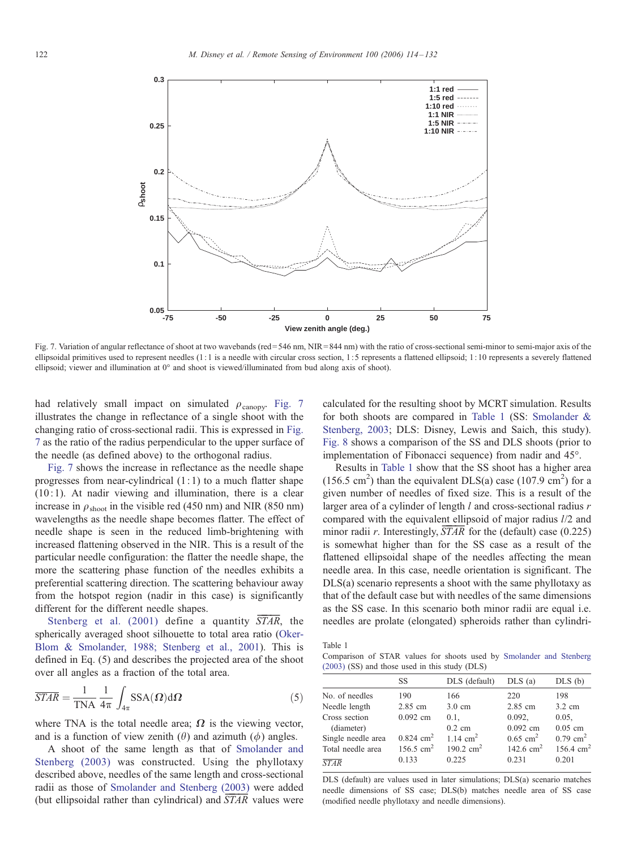

Fig. 7. Variation of angular reflectance of shoot at two wavebands (red=546 nm, NIR=844 nm) with the ratio of cross-sectional semi-minor to semi-major axis of the ellipsoidal primitives used to represent needles (1: 1 is a needle with circular cross section, 1: 5 represents a flattened ellipsoid; 1: 10 represents a severely flattened ellipsoid; viewer and illumination at  $0^{\circ}$  and shoot is viewed/illuminated from bud along axis of shoot).

had relatively small impact on simulated  $\rho_{\text{canopy}}$ . Fig. 7 illustrates the change in reflectance of a single shoot with the changing ratio of cross-sectional radii. This is expressed in Fig. 7 as the ratio of the radius perpendicular to the upper surface of the needle (as defined above) to the orthogonal radius.

Fig. 7 shows the increase in reflectance as the needle shape progresses from near-cylindrical  $(1:1)$  to a much flatter shape  $(10:1)$ . At nadir viewing and illumination, there is a clear increase in  $\rho_{\rm shoot}$  in the visible red (450 nm) and NIR (850 nm) wavelengths as the needle shape becomes flatter. The effect of needle shape is seen in the reduced limb-brightening with increased flattening observed in the NIR. This is a result of the particular needle configuration: the flatter the needle shape, the more the scattering phase function of the needles exhibits a preferential scattering direction. The scattering behaviour away from the hotspot region (nadir in this case) is significantly different for the different needle shapes.

Stenberg et al.  $(2001)$  define a quantity  $STAR$ , the spherically averaged shoot silhouette to total area ratio [\(Oker-](#page-17-0)Blom & Smolander, 1988; Stenberg et al., 2001). This is defined in Eq. (5) and describes the projected area of the shoot over all angles as a fraction of the total area.

$$
\overline{STAR} = \frac{1}{TNA} \frac{1}{4\pi} \int_{4\pi} SSA(\Omega) d\Omega
$$
 (5)

where TNA is the total needle area;  $\Omega$  is the viewing vector, and is a function of view zenith  $(\theta)$  and azimuth  $(\phi)$  angles.

A shoot of the same length as that of [Smolander a](#page-17-0)nd Stenberg (2003) was constructed. Using the phyllotaxy described above, needles of the same length and cross-sectional radii as those of [Smolander and Stenberg \(2003\)](#page-17-0) were added (but ellipsoidal rather than cylindrical) and  $\overline{STAR}$  values were

calculated for the resulting shoot by MCRT simulation. Results for both shoots are compared in Table 1 (SS: [Smolander](#page-17-0) & Stenberg, 2003; DLS: Disney, Lewis and Saich, this study). [Fig. 8](#page-9-0) shows a comparison of the SS and DLS shoots (prior to implementation of Fibonacci sequence) from nadir and 45<sup>o</sup>.

Results in Table 1 show that the SS shoot has a higher area  $(156.5 \text{ cm}^2)$  than the equivalent DLS(a) case  $(107.9 \text{ cm}^2)$  for a given number of needles of fixed size. This is a result of the larger area of a cylinder of length  $l$  and cross-sectional radius  $r$ compared with the equivalent ellipsoid of major radius l/2 and minor radii r. Interestingly,  $\overline{STAR}$  for the (default) case (0.225) is somewhat higher than for the SS case as a result of the flattened ellipsoidal shape of the needles affecting the mean needle area. In this case, needle orientation is significant. The DLS(a) scenario represents a shoot with the same phyllotaxy as that of the default case but with needles of the same dimensions as the SS case. In this scenario both minor radii are equal i.e. needles are prolate (elongated) spheroids rather than cylindri-

Table 1

Comparison of STAR values for shoots used by [Smolander and Stenber](#page-17-0)g (2003) (SS) and those used in this study (DLS)

|                    | SS                      | DLS (default)       | $DLS$ (a)              | $DLS$ (b)              |
|--------------------|-------------------------|---------------------|------------------------|------------------------|
| No. of needles     | 190                     | 166                 | 220                    | 198                    |
| Needle length      | 2.85 cm                 | $3.0 \text{ cm}$    | 2.85 cm                | $3.2 \text{ cm}$       |
| Cross section      | $0.092$ cm              | 0.1.                | 0.092,                 | 0.05.                  |
| (diameter)         |                         | $0.2 \text{ cm}$    | $0.092$ cm             | $0.05$ cm              |
| Single needle area | $0.824$ cm <sup>2</sup> | 1.14 $cm2$          | $0.65$ cm <sup>2</sup> | $0.79$ cm <sup>2</sup> |
| Total needle area  | $156.5 \text{ cm}^2$    | 190.2 $\text{cm}^2$ | 142.6 $cm2$            | $156.4 \text{ cm}^2$   |
| <b>STAR</b>        | 0.133                   | 0.225               | 0.231                  | 0.201                  |

DLS (default) are values used in later simulations; DLS(a) scenario matches needle dimensions of SS case; DLS(b) matches needle area of SS case (modified needle phyllotaxy and needle dimensions).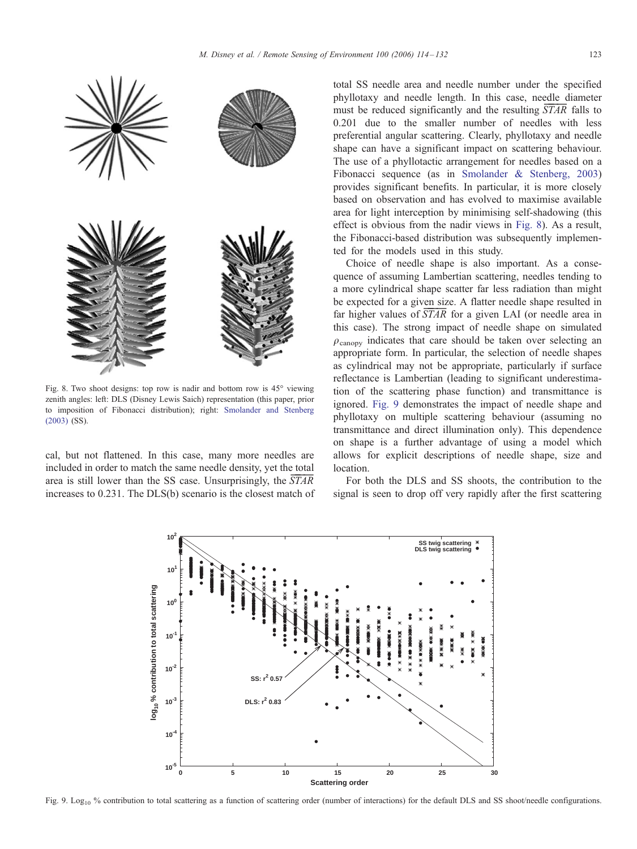<span id="page-9-0"></span>

Fig. 8. Two shoot designs: top row is nadir and bottom row is  $45^{\circ}$  viewing zenith angles: left: DLS (Disney Lewis Saich) representation (this paper, prior to imposition of Fibonacci distribution); right: [Smolander and Stenberg](#page-17-0) (2003) (SS).

cal, but not flattened. In this case, many more needles are included in order to match the same needle density, yet the total area is still lower than the SS case. Unsurprisingly, the  $\overline{STAR}$ increases to 0.231. The DLS(b) scenario is the closest match of total SS needle area and needle number under the specified phyllotaxy and needle length. In this case, needle diameter must be reduced significantly and the resulting  $STAR$  falls to 0.201 due to the smaller number of needles with less preferential angular scattering. Clearly, phyllotaxy and needle shape can have a significant impact on scattering behaviour. The use of a phyllotactic arrangement for needles based on a Fibonacci sequence (as in [Smolander & Stenberg, 2003](#page-17-0)) provides significant benefits. In particular, it is more closely based on observation and has evolved to maximise available area for light interception by minimising self-shadowing (this effect is obvious from the nadir views in Fig. 8). As a result, the Fibonacci-based distribution was subsequently implemented for the models used in this study.

Choice of needle shape is also important. As a consequence of assuming Lambertian scattering, needles tending to a more cylindrical shape scatter far less radiation than might be expected for a given size. A flatter needle shape resulted in far higher values of  $STAR$  for a given LAI (or needle area in this case). The strong impact of needle shape on simulated  $\rho_{\text{canony}}$  indicates that care should be taken over selecting an appropriate form. In particular, the selection of needle shapes as cylindrical may not be appropriate, particularly if surface reflectance is Lambertian (leading to significant underestimation of the scattering phase function) and transmittance is ignored. Fig. 9 demonstrates the impact of needle shape and phyllotaxy on multiple scattering behaviour (assuming no transmittance and direct illumination only). This dependence on shape is a further advantage of using a model which allows for explicit descriptions of needle shape, size and location.

For both the DLS and SS shoots, the contribution to the signal is seen to drop off very rapidly after the first scattering



Fig. 9. Log<sub>10</sub> % contribution to total scattering as a function of scattering order (number of interactions) for the default DLS and SS shoot/needle configurations.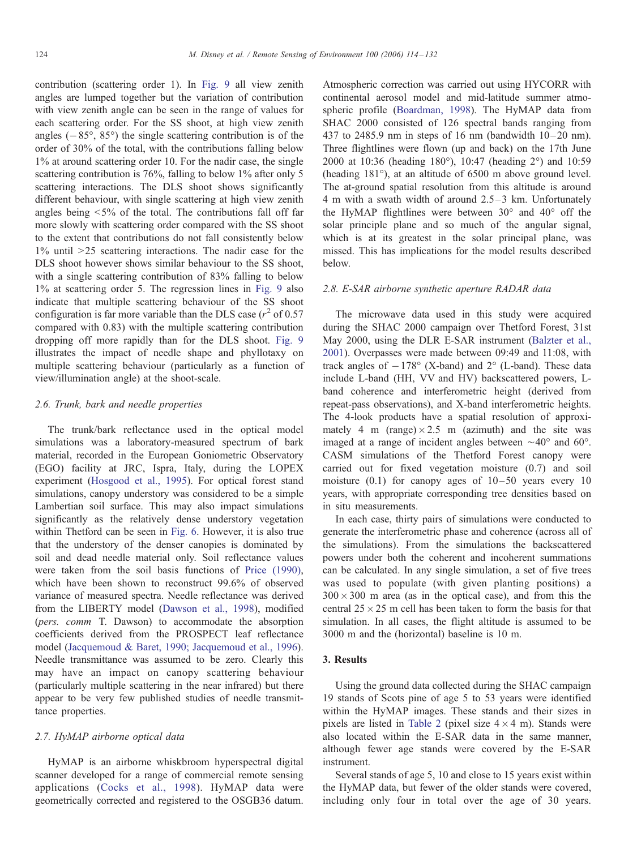contribution (scattering order 1). In [Fig. 9](#page-9-0) all view zenith angles are lumped together but the variation of contribution with view zenith angle can be seen in the range of values for each scattering order. For the SS shoot, at high view zenith angles  $(-85^{\circ}, 85^{\circ})$  the single scattering contribution is of the order of 30% of the total, with the contributions falling below 1% at around scattering order 10. For the nadir case, the single scattering contribution is 76%, falling to below 1% after only 5 scattering interactions. The DLS shoot shows significantly different behaviour, with single scattering at high view zenith angles being  $\leq 5\%$  of the total. The contributions fall off far more slowly with scattering order compared with the SS shoot to the extent that contributions do not fall consistently below  $1\%$  until  $>25$  scattering interactions. The nadir case for the DLS shoot however shows similar behaviour to the SS shoot, with a single scattering contribution of 83% falling to below 1% at scattering order 5. The regression lines in [Fig. 9](#page-9-0) also indicate that multiple scattering behaviour of the SS shoot configuration is far more variable than the DLS case ( $r^2$  of 0.57 compared with 0.83) with the multiple scattering contribution dropping off more rapidly than for the DLS shoot. [Fig. 9](#page-9-0) illustrates the impact of needle shape and phyllotaxy on multiple scattering behaviour (particularly as a function of view/illumination angle) at the shoot-scale.

#### 2.6. Trunk, bark and needle properties

The trunk/bark reflectance used in the optical model simulations was a laboratory-measured spectrum of bark material, recorded in the European Goniometric Observatory (EGO) facility at JRC, Ispra, Italy, during the LOPEX experiment [\(Hosgood et al., 1995](#page-16-0)). For optical forest stand simulations, canopy understory was considered to be a simple Lambertian soil surface. This may also impact simulations significantly as the relatively dense understory vegetation within Thetford can be seen in [Fig. 6.](#page-7-0) However, it is also true that the understory of the denser canopies is dominated by soil and dead needle material only. Soil reflectance values were taken from the soil basis functions of [Price \(1990\)](#page-17-0), which have been shown to reconstruct 99.6% of observed variance of measured spectra. Needle reflectance was derived from the LIBERTY model [\(Dawson et al., 1998](#page-16-0)), modified (pers. comm T. Dawson) to accommodate the absorption coefficients derived from the PROSPECT leaf reflectance model [\(Jacquemoud & Baret, 1990; Jacquemoud et al., 1996](#page-16-0)). Needle transmittance was assumed to be zero. Clearly this may have an impact on canopy scattering behaviour (particularly multiple scattering in the near infrared) but there appear to be very few published studies of needle transmittance properties.

#### 2.7. HyMAP airborne optical data

HyMAP is an airborne whiskbroom hyperspectral digital scanner developed for a range of commercial remote sensing applications [\(Cocks et al., 1998](#page-16-0)). HyMAP data were geometrically corrected and registered to the OSGB36 datum.

Atmospheric correction was carried out using HYCORR with continental aerosol model and mid-latitude summer atmospheric profile [\(Boardman, 1998](#page-16-0)). The HyMAP data from SHAC 2000 consisted of 126 spectral bands ranging from 437 to 2485.9 nm in steps of 16 nm (bandwidth  $10-20$  nm). Three flightlines were flown (up and back) on the 17th June 2000 at 10:36 (heading  $180^{\circ}$ ), 10:47 (heading  $2^{\circ}$ ) and  $10:59$ (heading  $181^{\circ}$ ), at an altitude of 6500 m above ground level. The at-ground spatial resolution from this altitude is around 4 m with a swath width of around  $2.5-3$  km. Unfortunately the HyMAP flightlines were between  $30^{\circ}$  and  $40^{\circ}$  off the solar principle plane and so much of the angular signal, which is at its greatest in the solar principal plane, was missed. This has implications for the model results described below.

## 2.8. E-SAR airborne synthetic aperture RADAR data

The microwave data used in this study were acquired during the SHAC 2000 campaign over Thetford Forest, 31st May 2000, using the DLR E-SAR instrument [\(Balzter et a](#page-16-0)l., 2001). Overpasses were made between 09:49 and 11:08, with track angles of  $-178^\circ$  (X-band) and  $2^\circ$  (L-band). These data include L-band (HH, VV and HV) backscattered powers, Lband coherence and interferometric height (derived from repeat-pass observations), and X-band interferometric heights. The 4-look products have a spatial resolution of approximately 4 m (range) $\times$ 2.5 m (azimuth) and the site was imaged at a range of incident angles between  $\sim 40^{\circ}$  and 60°. CASM simulations of the Thetford Forest canopy were carried out for fixed vegetation moisture (0.7) and soil moisture  $(0.1)$  for canopy ages of  $10-50$  years every 10 years, with appropriate corresponding tree densities based on in situ measurements.

In each case, thirty pairs of simulations were conducted to generate the interferometric phase and coherence (across all of the simulations). From the simulations the backscattered powers under both the coherent and incoherent summations can be calculated. In any single simulation, a set of five trees was used to populate (with given planting positions) a  $300 \times 300$  m area (as in the optical case), and from this the central  $25 \times 25$  m cell has been taken to form the basis for that simulation. In all cases, the flight altitude is assumed to be 3000 m and the (horizontal) baseline is 10 m.

## 3. Results

Using the ground data collected during the SHAC campaign 19 stands of Scots pine of age 5 to 53 years were identified within the HyMAP images. These stands and their sizes in pixels are listed in [Table 2](#page-11-0) (pixel size  $4 \times 4$  m). Stands were also located within the E-SAR data in the same manner, although fewer age stands were covered by the E-SAR instrument.

Several stands of age 5, 10 and close to 15 years exist within the HyMAP data, but fewer of the older stands were covered, including only four in total over the age of 30 years.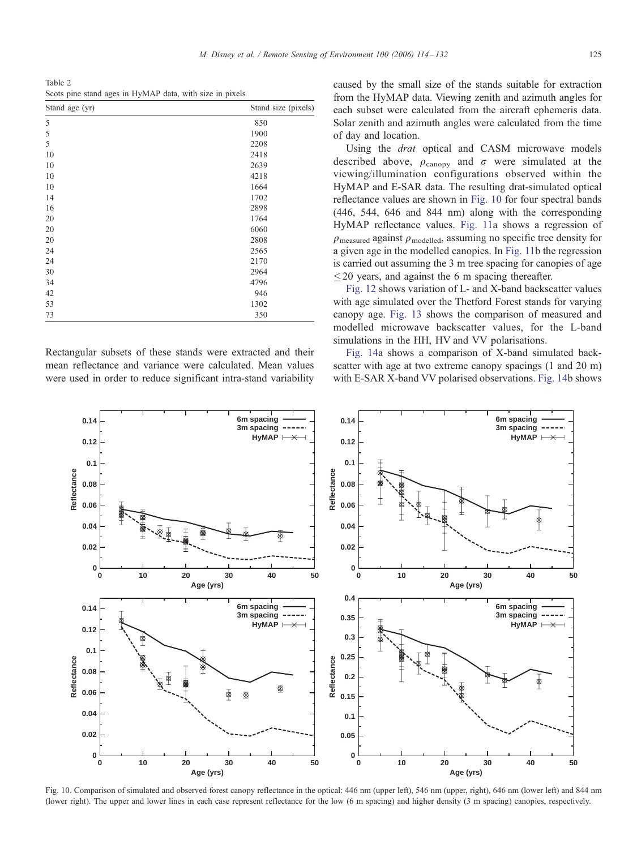<span id="page-11-0"></span>Table 2 Scots pine stand ages in HyMAP data, with size in pixels

| Stand age (yr) | Stand size (pixels) |
|----------------|---------------------|
| 5              | 850                 |
| 5              | 1900                |
| 5              | 2208                |
| 10             | 2418                |
| 10             | 2639                |
| 10             | 4218                |
| 10             | 1664                |
| 14             | 1702                |
| 16             | 2898                |
| 20             | 1764                |
| 20             | 6060                |
| 20             | 2808                |
| 24             | 2565                |
| 24             | 2170                |
| 30             | 2964                |
| 34             | 4796                |
| 42             | 946                 |
| 53             | 1302                |
| 73             | 350                 |

Rectangular subsets of these stands were extracted and their mean reflectance and variance were calculated. Mean values were used in order to reduce significant intra-stand variability

caused by the small size of the stands suitable for extraction from the HyMAP data. Viewing zenith and azimuth angles for each subset were calculated from the aircraft ephemeris data. Solar zenith and azimuth angles were calculated from the time of day and location.

Using the drat optical and CASM microwave models described above,  $\rho_{\text{canopy}}$  and  $\sigma$  were simulated at the viewing/illumination configurations observed within the HyMAP and E-SAR data. The resulting drat-simulated optical reflectance values are shown in Fig. 10 for four spectral bands (446, 544, 646 and 844 nm) along with the corresponding HyMAP reflectance values. [Fig. 11](#page-12-0)a shows a regression of  $\rho_{\text{measured}}$  against  $\rho_{\text{modelled}}$ , assuming no specific tree density for a given age in the modelled canopies. In [Fig. 11](#page-12-0)b the regression is carried out assuming the 3 m tree spacing for canopies of age  $\leq$  20 years, and against the 6 m spacing thereafter.

[Fig. 12](#page-13-0) shows variation of L- and X-band backscatter values with age simulated over the Thetford Forest stands for varying canopy age. [Fig. 13](#page-14-0) shows the comparison of measured and modelled microwave backscatter values, for the L-band simulations in the HH, HV and VV polarisations.

[Fig. 14](#page-14-0)a shows a comparison of X-band simulated backscatter with age at two extreme canopy spacings (1 and 20 m) with E-SAR X-band VV polarised observations. [Fig. 14](#page-14-0)b shows



Fig. 10. Comparison of simulated and observed forest canopy reflectance in the optical: 446 nm (upper left), 546 nm (upper, right), 646 nm (lower left) and 844 nm (lower right). The upper and lower lines in each case represent reflectance for the low (6 m spacing) and higher density (3 m spacing) canopies, respectively.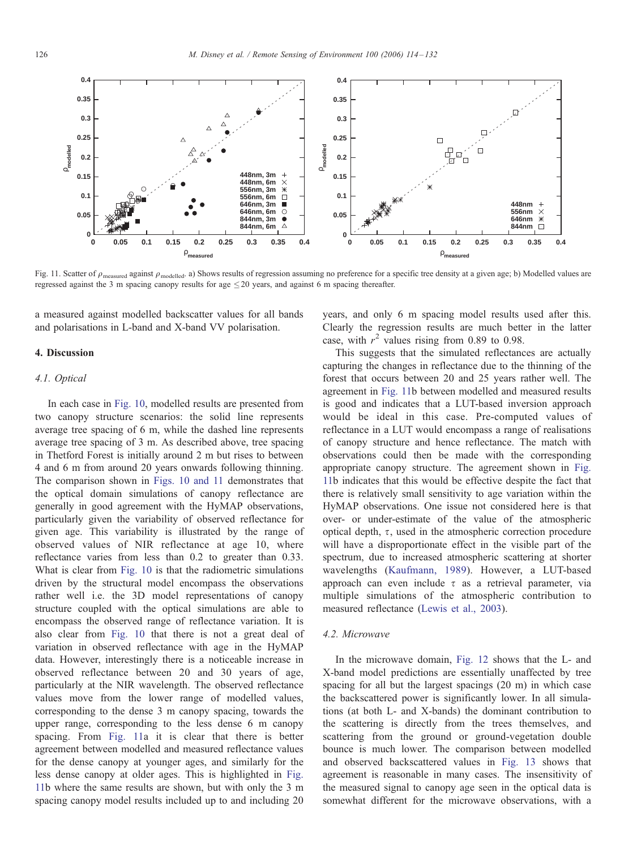<span id="page-12-0"></span>

Fig. 11. Scatter of  $\rho_{\text{measured}}$  against  $\rho_{\text{modeled}}$ . a) Shows results of regression assuming no preference for a specific tree density at a given age; b) Modelled values are regressed against the 3 m spacing canopy results for age  $\leq$  20 years, and against 6 m spacing thereafter.

a measured against modelled backscatter values for all bands and polarisations in L-band and X-band VV polarisation.

#### 4. Discussion

## 4.1. Optical

In each case in [Fig. 10](#page-11-0), modelled results are presented from two canopy structure scenarios: the solid line represents average tree spacing of 6 m, while the dashed line represents average tree spacing of 3 m. As described above, tree spacing in Thetford Forest is initially around 2 m but rises to between 4 and 6 m from around 20 years onwards following thinning. The comparison shown in [Figs. 10 and 11](#page-11-0) demonstrates that the optical domain simulations of canopy reflectance are generally in good agreement with the HyMAP observations, particularly given the variability of observed reflectance for given age. This variability is illustrated by the range of observed values of NIR reflectance at age 10, where reflectance varies from less than 0.2 to greater than 0.33. What is clear from [Fig. 10](#page-11-0) is that the radiometric simulations driven by the structural model encompass the observations rather well i.e. the 3D model representations of canopy structure coupled with the optical simulations are able to encompass the observed range of reflectance variation. It is also clear from [Fig. 10](#page-11-0) that there is not a great deal of variation in observed reflectance with age in the HyMAP data. However, interestingly there is a noticeable increase in observed reflectance between 20 and 30 years of age, particularly at the NIR wavelength. The observed reflectance values move from the lower range of modelled values, corresponding to the dense 3 m canopy spacing, towards the upper range, corresponding to the less dense 6 m canopy spacing. From Fig. 11a it is clear that there is better agreement between modelled and measured reflectance values for the dense canopy at younger ages, and similarly for the less dense canopy at older ages. This is highlighted in Fig. 11b where the same results are shown, but with only the 3 m spacing canopy model results included up to and including 20

years, and only 6 m spacing model results used after this. Clearly the regression results are much better in the latter case, with  $r^2$  values rising from 0.89 to 0.98.

This suggests that the simulated reflectances are actually capturing the changes in reflectance due to the thinning of the forest that occurs between 20 and 25 years rather well. The agreement in Fig. 11b between modelled and measured results is good and indicates that a LUT-based inversion approach would be ideal in this case. Pre-computed values of reflectance in a LUT would encompass a range of realisations of canopy structure and hence reflectance. The match with observations could then be made with the corresponding appropriate canopy structure. The agreement shown in Fig. 11b indicates that this would be effective despite the fact that there is relatively small sensitivity to age variation within the HyMAP observations. One issue not considered here is that over- or under-estimate of the value of the atmospheric optical depth,  $\tau$ , used in the atmospheric correction procedure will have a disproportionate effect in the visible part of the spectrum, due to increased atmospheric scattering at shorter wavelengths [\(Kaufmann, 1989](#page-16-0)). However, a LUT-based approach can even include  $\tau$  as a retrieval parameter, via multiple simulations of the atmospheric contribution to measured reflectance [\(Lewis et al., 2003](#page-17-0)).

## 4.2. Microwave

In the microwave domain, [Fig. 12](#page-13-0) shows that the L- and X-band model predictions are essentially unaffected by tree spacing for all but the largest spacings (20 m) in which case the backscattered power is significantly lower. In all simulations (at both L- and X-bands) the dominant contribution to the scattering is directly from the trees themselves, and scattering from the ground or ground-vegetation double bounce is much lower. The comparison between modelled and observed backscattered values in [Fig. 13](#page-14-0) shows that agreement is reasonable in many cases. The insensitivity of the measured signal to canopy age seen in the optical data is somewhat different for the microwave observations, with a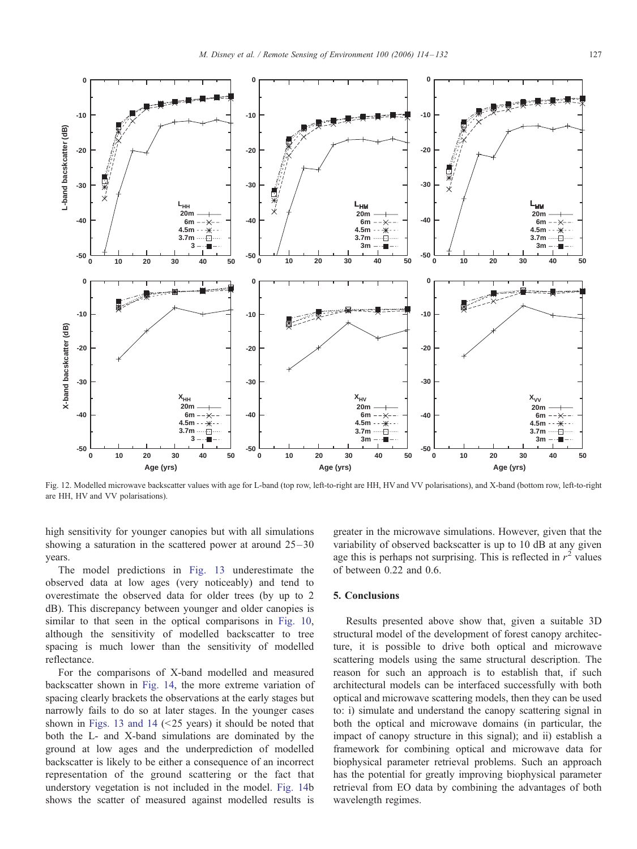<span id="page-13-0"></span>

Fig. 12. Modelled microwave backscatter values with age for L-band (top row, left-to-right are HH, HV and VV polarisations), and X-band (bottom row, left-to-right are HH, HV and VV polarisations).

high sensitivity for younger canopies but with all simulations showing a saturation in the scattered power at around  $25-30$ years.

The model predictions in [Fig. 13](#page-14-0) underestimate the observed data at low ages (very noticeably) and tend to overestimate the observed data for older trees (by up to 2 dB). This discrepancy between younger and older canopies is similar to that seen in the optical comparisons in [Fig. 10,](#page-11-0) although the sensitivity of modelled backscatter to tree spacing is much lower than the sensitivity of modelled reflectance.

For the comparisons of X-band modelled and measured backscatter shown in [Fig. 14,](#page-14-0) the more extreme variation of spacing clearly brackets the observations at the early stages but narrowly fails to do so at later stages. In the younger cases shown in [Figs. 13 and 14](#page-14-0)  $(\leq 25$  years) it should be noted that both the L- and X-band simulations are dominated by the ground at low ages and the underprediction of modelled backscatter is likely to be either a consequence of an incorrect representation of the ground scattering or the fact that understory vegetation is not included in the model. [Fig. 14b](#page-14-0) shows the scatter of measured against modelled results is

greater in the microwave simulations. However, given that the variability of observed backscatter is up to 10 dB at any given age this is perhaps not surprising. This is reflected in  $r^2$  values of between 0.22 and 0.6.

## 5. Conclusions

Results presented above show that, given a suitable 3D structural model of the development of forest canopy architecture, it is possible to drive both optical and microwave scattering models using the same structural description. The reason for such an approach is to establish that, if such architectural models can be interfaced successfully with both optical and microwave scattering models, then they can be used to: i) simulate and understand the canopy scattering signal in both the optical and microwave domains (in particular, the impact of canopy structure in this signal); and ii) establish a framework for combining optical and microwave data for biophysical parameter retrieval problems. Such an approach has the potential for greatly improving biophysical parameter retrieval from EO data by combining the advantages of both wavelength regimes.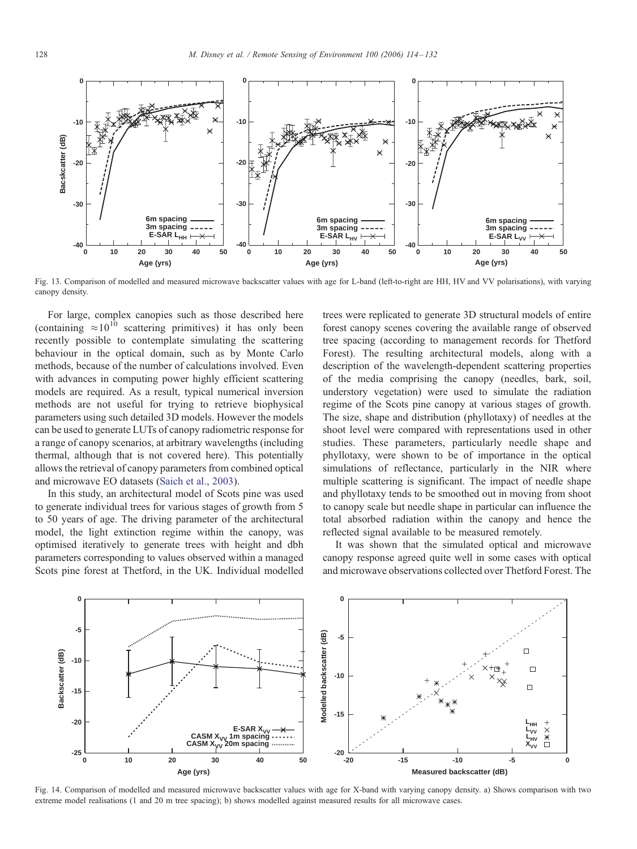<span id="page-14-0"></span>

Fig. 13. Comparison of modelled and measured microwave backscatter values with age for L-band (left-to-right are HH, HV and VV polarisations), with varying canopy density.

For large, complex canopies such as those described here (containing  $\approx 10^{10}$  scattering primitives) it has only been recently possible to contemplate simulating the scattering behaviour in the optical domain, such as by Monte Carlo methods, because of the number of calculations involved. Even with advances in computing power highly efficient scattering models are required. As a result, typical numerical inversion methods are not useful for trying to retrieve biophysical parameters using such detailed 3D models. However the models can be used to generate LUTs of canopy radiometric response for a range of canopy scenarios, at arbitrary wavelengths (including thermal, although that is not covered here). This potentially allows the retrieval of canopy parameters from combined optical and microwave EO datasets [\(Saich et al., 200](#page-17-0)3).

In this study, an architectural model of Scots pine was used to generate individual trees for various stages of growth from 5 to 50 years of age. The driving parameter of the architectural model, the light extinction regime within the canopy, was optimised iteratively to generate trees with height and dbh parameters corresponding to values observed within a managed Scots pine forest at Thetford, in the UK. Individual modelled trees were replicated to generate 3D structural models of entire forest canopy scenes covering the available range of observed tree spacing (according to management records for Thetford Forest). The resulting architectural models, along with a description of the wavelength-dependent scattering properties of the media comprising the canopy (needles, bark, soil, understory vegetation) were used to simulate the radiation regime of the Scots pine canopy at various stages of growth. The size, shape and distribution (phyllotaxy) of needles at the shoot level were compared with representations used in other studies. These parameters, particularly needle shape and phyllotaxy, were shown to be of importance in the optical simulations of reflectance, particularly in the NIR where multiple scattering is significant. The impact of needle shape and phyllotaxy tends to be smoothed out in moving from shoot to canopy scale but needle shape in particular can influence the total absorbed radiation within the canopy and hence the reflected signal available to be measured remotely.

It was shown that the simulated optical and microwave canopy response agreed quite well in some cases with optical and microwave observations collected over Thetford Forest. The



Fig. 14. Comparison of modelled and measured microwave backscatter values with age for X-band with varying canopy density. a) Shows comparison with two extreme model realisations (1 and 20 m tree spacing); b) shows modelled against measured results for all microwave cases.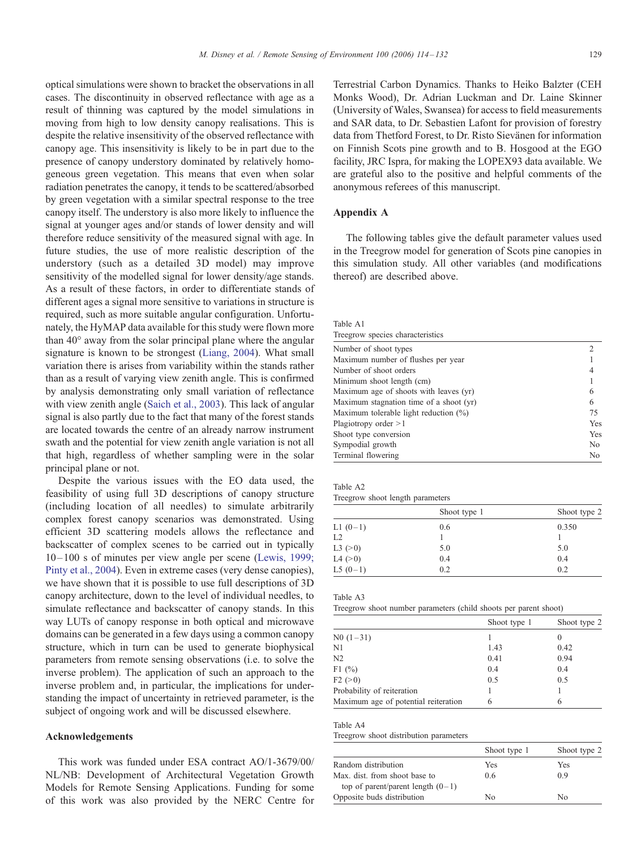optical simulations were shown to bracket the observations in all cases. The discontinuity in observed reflectance with age as a result of thinning was captured by the model simulations in moving from high to low density canopy realisations. This is despite the relative insensitivity of the observed reflectance with canopy age. This insensitivity is likely to be in part due to the presence of canopy understory dominated by relatively homogeneous green vegetation. This means that even when solar radiation penetrates the canopy, it tends to be scattered/absorbed by green vegetation with a similar spectral response to the tree canopy itself. The understory is also more likely to influence the signal at younger ages and/or stands of lower density and will therefore reduce sensitivity of the measured signal with age. In future studies, the use of more realistic description of the understory (such as a detailed 3D model) may improve sensitivity of the modelled signal for lower density/age stands. As a result of these factors, in order to differentiate stands of different ages a signal more sensitive to variations in structure is required, such as more suitable angular configuration. Unfortunately, the HyMAP data available for this study were flown more than  $40^{\circ}$  away from the solar principal plane where the angular signature is known to be strongest ([Liang, 2004\)](#page-17-0). What small variation there is arises from variability within the stands rather than as a result of varying view zenith angle. This is confirmed by analysis demonstrating only small variation of reflectance with view zenith angle ([Saich et al., 2003\)](#page-17-0). This lack of angular signal is also partly due to the fact that many of the forest stands are located towards the centre of an already narrow instrument swath and the potential for view zenith angle variation is not all that high, regardless of whether sampling were in the solar principal plane or not.

Despite the various issues with the EO data used, the feasibility of using full 3D descriptions of canopy structure (including location of all needles) to simulate arbitrarily complex forest canopy scenarios was demonstrated. Using efficient 3D scattering models allows the reflectance and backscatter of complex scenes to be carried out in typically 10 –100 s of minutes per view angle per scene ([Lewis, 199](#page-17-0)9; Pinty et al., 2004). Even in extreme cases (very dense canopies), we have shown that it is possible to use full descriptions of 3D canopy architecture, down to the level of individual needles, to simulate reflectance and backscatter of canopy stands. In this way LUTs of canopy response in both optical and microwave domains can be generated in a few days using a common canopy structure, which in turn can be used to generate biophysical parameters from remote sensing observations (i.e. to solve the inverse problem). The application of such an approach to the inverse problem and, in particular, the implications for understanding the impact of uncertainty in retrieved parameter, is the subject of ongoing work and will be discussed elsewhere.

#### Acknowledgements

This work was funded under ESA contract AO/1-3679/00/ NL/NB: Development of Architectural Vegetation Growth Models for Remote Sensing Applications. Funding for some of this work was also provided by the NERC Centre for

Terrestrial Carbon Dynamics. Thanks to Heiko Balzter (CEH Monks Wood), Dr. Adrian Luckman and Dr. Laine Skinner (University of Wales, Swansea) for access to field measurements and SAR data, to Dr. Sebastien Lafont for provision of forestry data from Thetford Forest, to Dr. Risto Sievänen for information on Finnish Scots pine growth and to B. Hosgood at the EGO facility, JRC Ispra, for making the LOPEX93 data available. We are grateful also to the positive and helpful comments of the anonymous referees of this manuscript.

## Appendix A

The following tables give the default parameter values used in the Treegrow model for generation of Scots pine canopies in this simulation study. All other variables (and modifications thereof) are described above.

#### Table A1

| Treegrow species characteristics         |     |
|------------------------------------------|-----|
| Number of shoot types                    |     |
| Maximum number of flushes per year       |     |
| Number of shoot orders                   |     |
| Minimum shoot length (cm)                |     |
| Maximum age of shoots with leaves (yr)   | 6   |
| Maximum stagnation time of a shoot (yr)  | 6   |
| Maximum tolerable light reduction $(\%)$ | 75  |
| Plagiotropy order $>1$                   | Yes |
| Shoot type conversion                    | Yes |
| Sympodial growth                         | No. |
| Terminal flowering                       | No  |

| anie |  |
|------|--|
|------|--|

|  |  |  | Treegrow shoot length parameters |
|--|--|--|----------------------------------|
|--|--|--|----------------------------------|

|            | Shoot type 1 | Shoot type 2 |
|------------|--------------|--------------|
| L1 $(0-1)$ | 0.6          | 0.350        |
| L2         |              |              |
| L3 (>0)    | 5.0          | 5.0          |
| L4 (>0)    | 0.4          | 0.4          |
| L5 $(0-1)$ | 0.2          | 0.2          |

Table A3

|                                      | Shoot type 1 | Shoot type 2 |
|--------------------------------------|--------------|--------------|
| $N0(1-31)$                           |              |              |
| N1                                   | 1.43         | 0.42         |
| N <sub>2</sub>                       | 0.41         | 0.94         |
| F1 $(%)$                             | 0.4          | 0.4          |
| F2 (>0)                              | 0.5          | 0.5          |
| Probability of reiteration           |              |              |
| Maximum age of potential reiteration | 6            | 6            |

Table A4

Treegrow shoot distribution parameters

|                                     | Shoot type 1 | Shoot type 2 |
|-------------------------------------|--------------|--------------|
| Random distribution                 | Yes          | Yes          |
| Max. dist. from shoot base to       | 0.6          | 09           |
| top of parent/parent length $(0-1)$ |              |              |
| Opposite buds distribution          | Nο           | Nο           |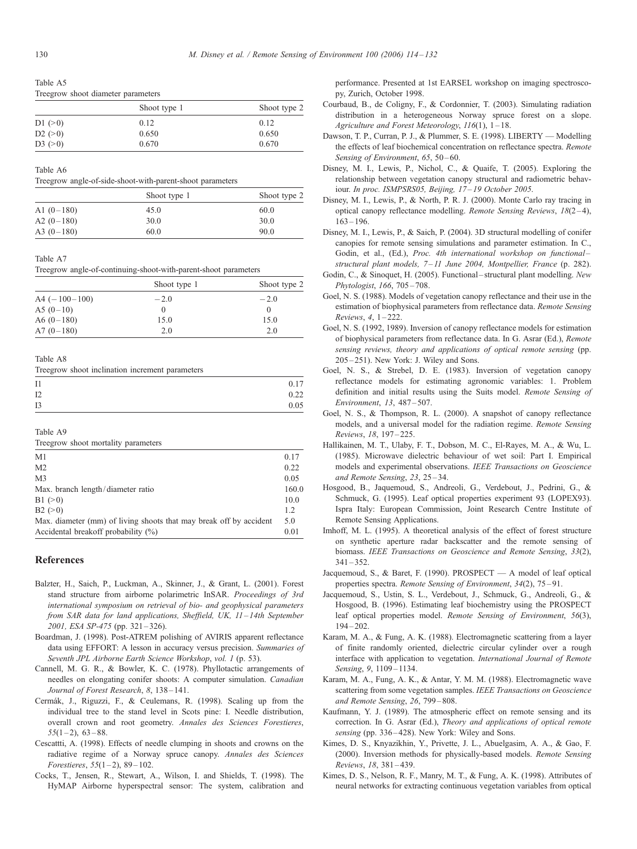<span id="page-16-0"></span>Table A5 Treegrow shoot diameter parameters

|         | Shoot type 1 | Shoot type 2 |
|---------|--------------|--------------|
| D1 (>0) | 0.12         | 0.12         |
| D2 (>0) | 0.650        | 0.650        |
| D3 (>0) | 0.670        | 0.670        |

Table A6

Treegrow angle-of-side-shoot-with-parent-shoot parameters

|              | Shoot type 1 | Shoot type 2 |
|--------------|--------------|--------------|
| A1 $(0-180)$ | 45.0         | 60.0         |
| A2 $(0-180)$ | 30.0         | 30.0         |
| A3 $(0-180)$ | 60.0         | 90.0         |

#### Table A7

Treegrow angle-of-continuing-shoot-with-parent-shoot parameters

|                 | Shoot type 1 | Shoot type 2     |
|-----------------|--------------|------------------|
| $A4 (-100-100)$ | $-2.0$       | $-2.0$           |
| A5 $(0-10)$     | $^{(1)}$     | $\left( \right)$ |
| A6 $(0-180)$    | 15.0         | 15.0             |
| A7 $(0-180)$    | 2.0          | 2.0              |

Table A8

| Treegrow shoot inclination increment parameters |  |  |
|-------------------------------------------------|--|--|
|-------------------------------------------------|--|--|

| $_{11}$   | 0.17 |
|-----------|------|
| I2        | 0.22 |
| <b>I3</b> | 0.05 |

Table A9

Treegrow shoot mortality parameters

| M1                                                                 | 0.17  |
|--------------------------------------------------------------------|-------|
| M <sub>2</sub>                                                     | 0.22  |
| M <sub>3</sub>                                                     | 0.05  |
| Max. branch length/diameter ratio                                  | 160.0 |
| B1 (>0)                                                            | 10.0  |
| B2 (>0)                                                            | 1.2   |
| Max. diameter (mm) of living shoots that may break off by accident | 5.0   |
| Accidental breakoff probability $(\%)$                             | 0.01  |

#### References

- Balzter, H., Saich, P., Luckman, A., Skinner, J., & Grant, L. (2001). Forest stand structure from airborne polarimetric InSAR. Proceedings of 3rd international symposium on retrieval of bio- and geophysical parameters from SAR data for land applications, Sheffield, UK, 11-14th September 2001, ESA SP-475 (pp. 321-326).
- Boardman, J. (1998). Post-ATREM polishing of AVIRIS apparent reflectance data using EFFORT: A lesson in accuracy versus precision. Summaries of Seventh JPL Airborne Earth Science Workshop, vol. 1 (p. 53).
- Cannell, M. G. R., & Bowler, K. C. (1978). Phyllotactic arrangements of needles on elongating conifer shoots: A computer simulation. Canadian Journal of Forest Research, 8, 138-141.
- Cerma´k, J., Riguzzi, F., & Ceulemans, R. (1998). Scaling up from the individual tree to the stand level in Scots pine: I. Needle distribution, overall crown and root geometry. Annales des Sciences Forestieres,  $55(1-2)$ ,  $63-88$ .
- Cescattti, A. (1998). Effects of needle clumping in shoots and crowns on the radiative regime of a Norway spruce canopy. Annales des Sciences Forestieres,  $55(1-2)$ , 89-102.
- Cocks, T., Jensen, R., Stewart, A., Wilson, I. and Shields, T. (1998). The HyMAP Airborne hyperspectral sensor: The system, calibration and

performance. Presented at 1st EARSEL workshop on imaging spectroscopy, Zurich, October 1998.

- Courbaud, B., de Coligny, F., & Cordonnier, T. (2003). Simulating radiation distribution in a heterogeneous Norway spruce forest on a slope. Agriculture and Forest Meteorology, 116(1), 1 – 18.
- Dawson, T. P., Curran, P. J., & Plummer, S. E. (1998). LIBERTY Modelling the effects of leaf biochemical concentration on reflectance spectra. Remote Sensing of Environment, 65, 50-60.
- Disney, M. I., Lewis, P., Nichol, C., & Quaife, T. (2005). Exploring the relationship between vegetation canopy structural and radiometric behaviour. In proc. ISMPSRS05, Beijing, 17-19 October 2005.
- Disney, M. I., Lewis, P., & North, P. R. J. (2000). Monte Carlo ray tracing in optical canopy reflectance modelling. Remote Sensing Reviews, 18(2-4),  $163 - 196$
- Disney, M. I., Lewis, P., & Saich, P. (2004). 3D structural modelling of conifer canopies for remote sensing simulations and parameter estimation. In C., Godin, et al., (Ed.), Proc. 4th international workshop on functionalstructural plant models, 7-11 June 2004, Montpellier, France (p. 282).
- Godin, C., & Sinoquet, H. (2005). Functional–structural plant modelling. New Phytologist, 166, 705 – 708.
- Goel, N. S. (1988). Models of vegetation canopy reflectance and their use in the estimation of biophysical parameters from reflectance data. Remote Sensing Reviews, 4, 1 – 222.
- Goel, N. S. (1992, 1989). Inversion of canopy reflectance models for estimation of biophysical parameters from reflectance data. In G. Asrar (Ed.), Remote sensing reviews, theory and applications of optical remote sensing (pp. 205 – 251). New York' J. Wiley and Sons.
- Goel, N. S., & Strebel, D. E. (1983). Inversion of vegetation canopy reflectance models for estimating agronomic variables: 1. Problem definition and initial results using the Suits model. Remote Sensing of Environment, 13, 487 – 507.
- Goel, N. S., & Thompson, R. L. (2000). A snapshot of canopy reflectance models, and a universal model for the radiation regime. Remote Sensing Reviews, 18, 197 – 225.
- Hallikainen, M. T., Ulaby, F. T., Dobson, M. C., El-Rayes, M. A., & Wu, L. (1985). Microwave dielectric behaviour of wet soil: Part I. Empirical models and experimental observations. IEEE Transactions on Geoscience and Remote Sensing, 23, 25 – 34.
- Hosgood, B., Jaquemoud, S., Andreoli, G., Verdebout, J., Pedrini, G., & Schmuck, G. (1995). Leaf optical properties experiment 93 (LOPEX93). Ispra Italy' European Commission, Joint Research Centre Institute of Remote Sensing Applications.
- Imhoff, M. L. (1995). A theoretical analysis of the effect of forest structure on synthetic aperture radar backscatter and the remote sensing of biomass. IEEE Transactions on Geoscience and Remote Sensing, 33(2),  $341 - 352.$
- Jacquemoud, S., & Baret, F. (1990). PROSPECT A model of leaf optical properties spectra. Remote Sensing of Environment, 34(2), 75 – 91.
- Jacquemoud, S., Ustin, S. L., Verdebout, J., Schmuck, G., Andreoli, G., & Hosgood, B. (1996). Estimating leaf biochemistry using the PROSPECT leaf optical properties model. Remote Sensing of Environment, 56(3),  $194 - 202$
- Karam, M. A., & Fung, A. K. (1988). Electromagnetic scattering from a layer of finite randomly oriented, dielectric circular cylinder over a rough interface with application to vegetation. International Journal of Remote Sensing, 9, 1109-1134.
- Karam, M. A., Fung, A. K., & Antar, Y. M. M. (1988). Electromagnetic wave scattering from some vegetation samples. IEEE Transactions on Geoscience and Remote Sensing, 26, 799 – 808.
- Kaufmann, Y. J. (1989). The atmospheric effect on remote sensing and its correction. In G. Asrar (Ed.), Theory and applications of optical remote sensing (pp. 336–428). New York: Wiley and Sons.
- Kimes, D. S., Knyazikhin, Y., Privette, J. L., Abuelgasim, A. A., & Gao, F. (2000). Inversion methods for physically-based models. Remote Sensing Reviews, 18, 381 – 439.
- Kimes, D. S., Nelson, R. F., Manry, M. T., & Fung, A. K. (1998). Attributes of neural networks for extracting continuous vegetation variables from optical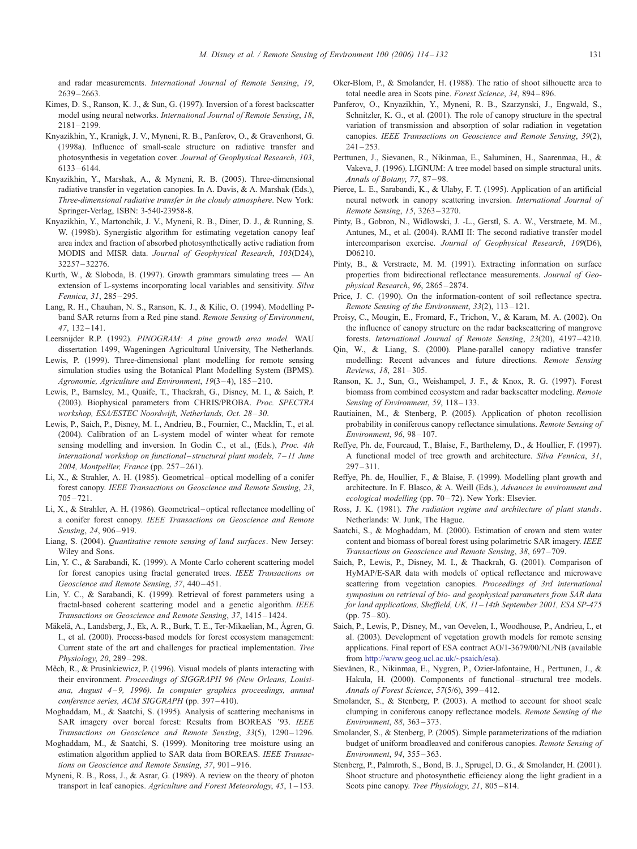<span id="page-17-0"></span>and radar measurements. International Journal of Remote Sensing, 19, 2639 – 2663.

- Kimes, D. S., Ranson, K. J., & Sun, G. (1997). Inversion of a forest backscatter model using neural networks. International Journal of Remote Sensing, 18,  $2181 - 2199$
- Knyazikhin, Y., Kranigk, J. V., Myneni, R. B., Panferov, O., & Gravenhorst, G. (1998a). Influence of small-scale structure on radiative transfer and photosynthesis in vegetation cover. Journal of Geophysical Research, 103, 6133 – 6144.
- Knyazikhin, Y., Marshak, A., & Myneni, R. B. (2005). Three-dimensional radiative transfer in vegetation canopies. In A. Davis, & A. Marshak (Eds.), Three-dimensional radiative transfer in the cloudy atmosphere. New York' Springer-Verlag, ISBN: 3-540-23958-8.
- Knyazikhin, Y., Martonchik, J. V., Myneni, R. B., Diner, D. J., & Running, S. W. (1998b). Synergistic algorithm for estimating vegetation canopy leaf area index and fraction of absorbed photosynthetically active radiation from MODIS and MISR data. Journal of Geophysical Research, 103(D24), 32257 – 32276.
- Kurth, W., & Sloboda, B. (1997). Growth grammars simulating trees An extension of L-systems incorporating local variables and sensitivity. Silva Fennica, 31, 285 – 295.
- Lang, R. H., Chauhan, N. S., Ranson, K. J., & Kilic, O. (1994). Modelling Pband SAR returns from a Red pine stand. Remote Sensing of Environment, 47, 132 – 141.
- Leersnijder R.P. (1992). PINOGRAM: A pine growth area model. WAU dissertation 1499, Wageningen Agricultural University, The Netherlands.
- Lewis, P. (1999). Three-dimensional plant modelling for remote sensing simulation studies using the Botanical Plant Modelling System (BPMS). Agronomie, Agriculture and Environment, 19(3-4), 185-210.
- Lewis, P., Barnsley, M., Quaife, T., Thackrah, G., Disney, M. I., & Saich, P. (2003). Biophysical parameters from CHRIS/PROBA. Proc. SPECTRA workshop, ESA/ESTEC Noordwijk, Netherlands, Oct. 28 – 30.
- Lewis, P., Saich, P., Disney, M. I., Andrieu, B., Fournier, C., Macklin, T., et al. (2004). Calibration of an L-system model of winter wheat for remote sensing modelling and inversion. In Godin C., et al., (Eds.), Proc. 4th international workshop on functional-structural plant models,  $7-11$  June 2004, Montpellier, France (pp. 257 – 261).
- Li, X., & Strahler, A. H. (1985). Geometrical-optical modelling of a conifer forest canopy. IEEE Transactions on Geoscience and Remote Sensing, 23,  $705 - 721.$
- Li, X., & Strahler, A. H. (1986). Geometrical optical reflectance modelling of a conifer forest canopy. IEEE Transactions on Geoscience and Remote Sensing, 24, 906-919.
- Liang, S. (2004). Quantitative remote sensing of land surfaces. New Jersey' Wiley and Sons.
- Lin, Y. C., & Sarabandi, K. (1999). A Monte Carlo coherent scattering model for forest canopies using fractal generated trees. IEEE Transactions on Geoscience and Remote Sensing, 37, 440 – 451.
- Lin, Y. C., & Sarabandi, K. (1999). Retrieval of forest parameters using a fractal-based coherent scattering model and a genetic algorithm. IEEE Transactions on Geoscience and Remote Sensing, 37, 1415 – 1424.
- Mäkelä, A., Landsberg, J., Ek, A. R., Burk, T. E., Ter-Mikaelian, M., Ågren, G. I., et al. (2000). Process-based models for forest ecosystem management: Current state of the art and challenges for practical implementation. Tree Physiology, 20, 289 – 298.
- Mêch, R., & Prusinkiewicz, P. (1996). Visual models of plants interacting with their environment. Proceedings of SIGGRAPH 96 (New Orleans, Louisiana, August  $4-9$ , 1996). In computer graphics proceedings, annual conference series, ACM SIGGRAPH (pp. 397-410).
- Moghaddam, M., & Saatchi, S. (1995). Analysis of scattering mechanisms in SAR imagery over boreal forest: Results from BOREAS '93. IEEE Transactions on Geoscience and Remote Sensing, 33(5), 1290-1296.
- Moghaddam, M., & Saatchi, S. (1999). Monitoring tree moisture using an estimation algorithm applied to SAR data from BOREAS. IEEE Transactions on Geoscience and Remote Sensing, 37, 901 – 916.
- Myneni, R. B., Ross, J., & Asrar, G. (1989). A review on the theory of photon transport in leaf canopies. Agriculture and Forest Meteorology, 45, 1-153.
- Oker-Blom, P., & Smolander, H. (1988). The ratio of shoot silhouette area to total needle area in Scots pine. Forest Science, 34, 894 – 896.
- Panferov, O., Knyazikhin, Y., Myneni, R. B., Szarzynski, J., Engwald, S., Schnitzler, K. G., et al. (2001). The role of canopy structure in the spectral variation of transmission and absorption of solar radiation in vegetation canopies. IEEE Transactions on Geoscience and Remote Sensing, 39(2),  $241 - 253$ .
- Perttunen, J., Sievanen, R., Nikinmaa, E., Saluminen, H., Saarenmaa, H., & Vakeva, J. (1996). LIGNUM: A tree model based on simple structural units. Annals of Botany, 77, 87-98.
- Pierce, L. E., Sarabandi, K., & Ulaby, F. T. (1995). Application of an artificial neural network in canopy scattering inversion. International Journal of Remote Sensing, 15, 3263 – 3270.
- Pinty, B., Gobron, N., Widlowski, J. -L., Gerstl, S. A. W., Verstraete, M. M., Antunes, M., et al. (2004). RAMI II: The second radiative transfer model intercomparison exercise. Journal of Geophysical Research, 109(D6), D06210.
- Pinty, B., & Verstraete, M. M. (1991). Extracting information on surface properties from bidirectional reflectance measurements. Journal of Geophysical Research, 96, 2865 – 2874.
- Price, J. C. (1990). On the information-content of soil reflectance spectra. Remote Sensing of the Environment, 33(2), 113-121.
- Proisy, C., Mougin, E., Fromard, F., Trichon, V., & Karam, M. A. (2002). On the influence of canopy structure on the radar backscattering of mangrove forests. International Journal of Remote Sensing, 23(20), 4197 – 4210.
- Qin, W., & Liang, S. (2000). Plane-parallel canopy radiative transfer modelling: Recent advances and future directions. Remote Sensing Reviews, 18, 281 – 305.
- Ranson, K. J., Sun, G., Weishampel, J. F., & Knox, R. G. (1997). Forest biomass from combined ecosystem and radar backscatter modeling. Remote Sensing of Environment, 59, 118-133.
- Rautiainen, M., & Stenberg, P. (2005). Application of photon recollision probability in coniferous canopy reflectance simulations. Remote Sensing of Environment, 96, 98 – 107.
- Reffye, Ph. de, Fourcaud, T., Blaise, F., Barthelemy, D., & Houllier, F. (1997). A functional model of tree growth and architecture. Silva Fennica, 31,  $297 - 311$
- Reffye, Ph. de, Houllier, F., & Blaise, F. (1999). Modelling plant growth and architecture. In F. Blasco, & A. Weill (Eds.), Advances in environment and ecological modelling (pp. 70–72). New York: Elsevier.
- Ross, J. K. (1981). The radiation regime and architecture of plant stands. Netherlands' W. Junk, The Hague.
- Saatchi, S., & Moghaddam, M. (2000). Estimation of crown and stem water content and biomass of boreal forest using polarimetric SAR imagery. IEEE Transactions on Geoscience and Remote Sensing, 38, 697 – 709.
- Saich, P., Lewis, P., Disney, M. I., & Thackrah, G. (2001). Comparison of HyMAP/E-SAR data with models of optical reflectance and microwave scattering from vegetation canopies. Proceedings of 3rd international symposium on retrieval of bio- and geophysical parameters from SAR data for land applications, Sheffield, UK, 11 – 14th September 2001, ESA SP-475 (pp. 75 – 80).
- Saich, P., Lewis, P., Disney, M., van Oevelen, I., Woodhouse, P., Andrieu, I., et al. (2003). Development of vegetation growth models for remote sensing applications. Final report of ESA contract AO/1-3679/00/NL/NB (available from [http://www.geog.ucl.ac.uk/~psaich/esa\).](http://www.geog.ucl.ac.uk/~psaich/esa)
- Sievänen, R., Nikinmaa, E., Nygren, P., Ozier-lafontaine, H., Perttunen, J., & Hakula, H. (2000). Components of functional-structural tree models. Annals of Forest Science, 57(5/6), 399 – 412.
- Smolander, S., & Stenberg, P. (2003). A method to account for shoot scale clumping in coniferous canopy reflectance models. Remote Sensing of the Environment, 88, 363–373.
- Smolander, S., & Stenberg, P. (2005). Simple parameterizations of the radiation budget of uniform broadleaved and coniferous canopies. Remote Sensing of Environment, 94, 355 – 363.
- Stenberg, P., Palmroth, S., Bond, B. J., Sprugel, D. G., & Smolander, H. (2001). Shoot structure and photosynthetic efficiency along the light gradient in a Scots pine canopy. Tree Physiology, 21, 805-814.